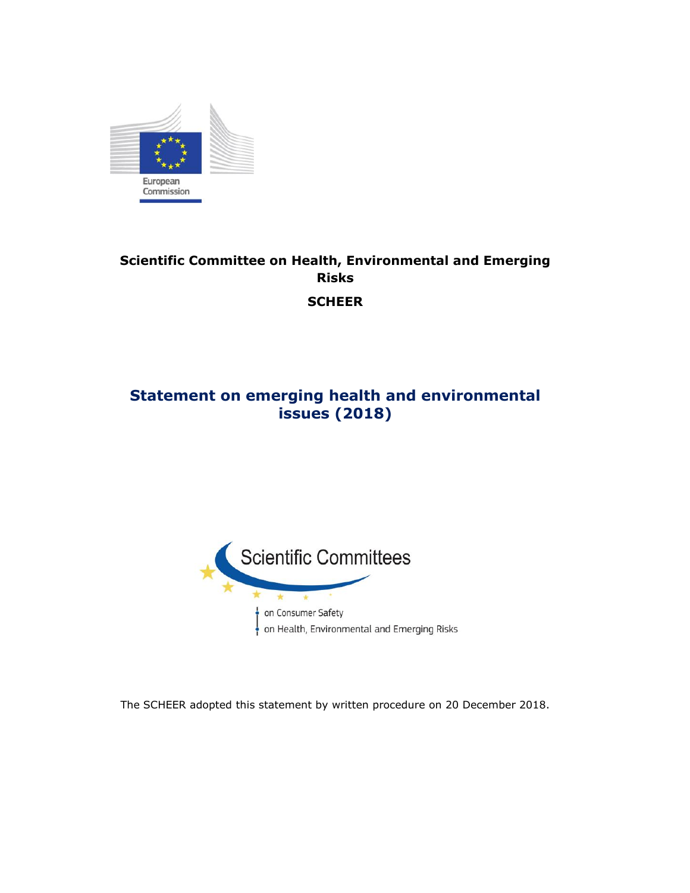

# **Scientific Committee on Health, Environmental and Emerging Risks SCHEER**

# **Statement on emerging health and environmental issues (2018)**



The SCHEER adopted this statement by written procedure on 20 December 2018.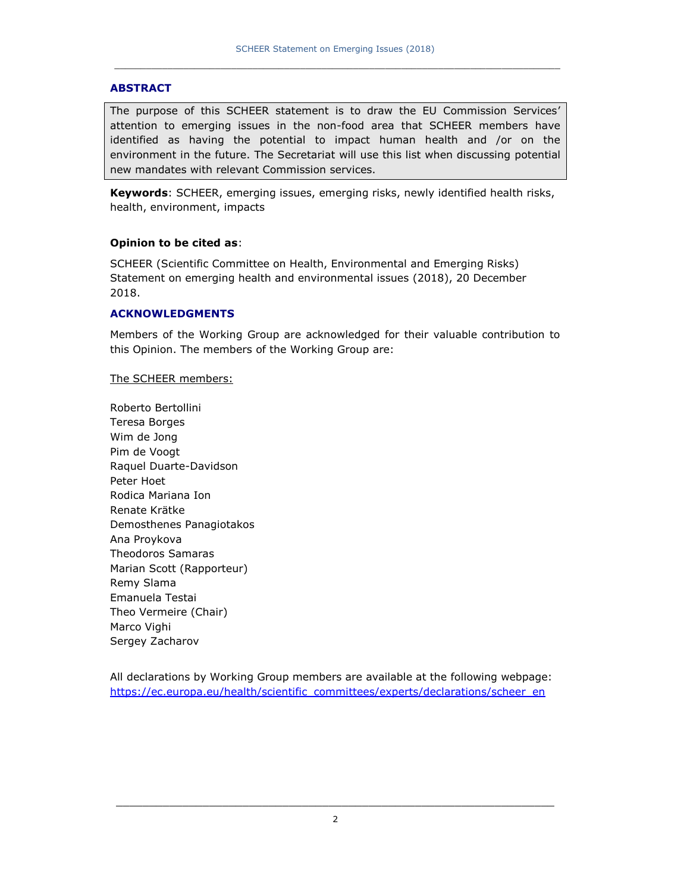#### **ABSTRACT**

The purpose of this SCHEER statement is to draw the EU Commission Services' attention to emerging issues in the non-food area that SCHEER members have identified as having the potential to impact human health and /or on the environment in the future. The Secretariat will use this list when discussing potential new mandates with relevant Commission services.

**Keywords**: SCHEER, emerging issues, emerging risks, newly identified health risks, health, environment, impacts

#### **Opinion to be cited as**:

SCHEER (Scientific Committee on Health, Environmental and Emerging Risks) Statement on emerging health and environmental issues (2018), 20 December 2018.

#### **ACKNOWLEDGMENTS**

Members of the Working Group are acknowledged for their valuable contribution to this Opinion. The members of the Working Group are:

#### The SCHEER members:

Roberto Bertollini Teresa Borges Wim de Jong Pim de Voogt Raquel Duarte-Davidson Peter Hoet Rodica Mariana Ion Renate Krätke Demosthenes Panagiotakos Ana Proykova Theodoros Samaras Marian Scott (Rapporteur) Remy Slama Emanuela Testai Theo Vermeire (Chair) Marco Vighi Sergey Zacharov

All declarations by Working Group members are available at the following webpage: [https://ec.europa.eu/health/scientific\\_committees/experts/declarations/scheer\\_en](https://ec.europa.eu/health/scientific_committees/experts/declarations/scheer_en)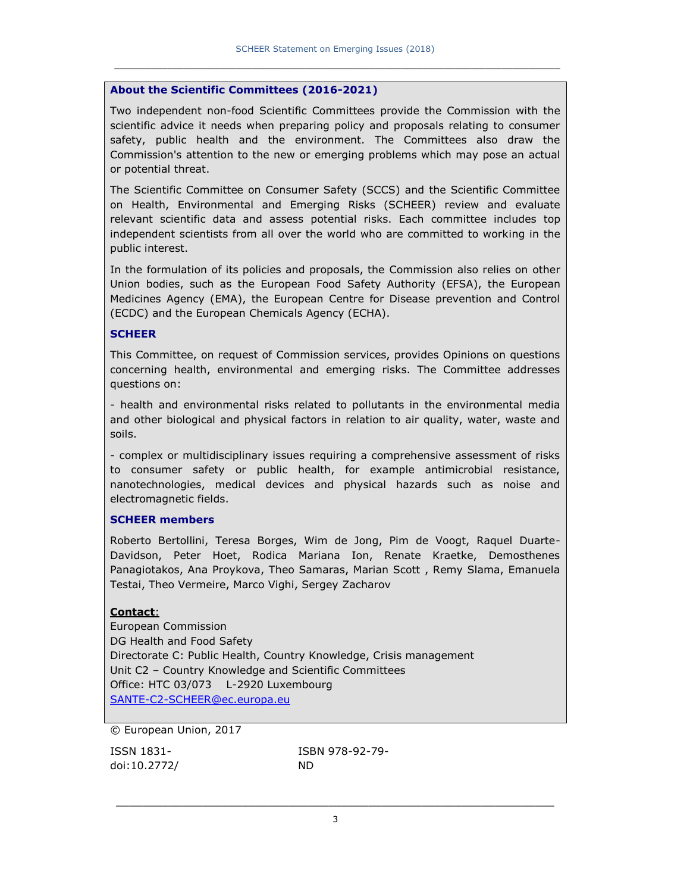#### **About the Scientific Committees (2016-2021)**

Two independent non-food Scientific Committees provide the Commission with the scientific advice it needs when preparing policy and proposals relating to consumer safety, public health and the environment. The Committees also draw the Commission's attention to the new or emerging problems which may pose an actual or potential threat.

The Scientific Committee on Consumer Safety (SCCS) and the Scientific Committee on Health, Environmental and Emerging Risks (SCHEER) review and evaluate relevant scientific data and assess potential risks. Each committee includes top independent scientists from all over the world who are committed to working in the public interest.

In the formulation of its policies and proposals, the Commission also relies on other Union bodies, such as the European Food Safety Authority (EFSA), the European Medicines Agency (EMA), the European Centre for Disease prevention and Control (ECDC) and the European Chemicals Agency (ECHA).

#### **SCHEER**

This Committee, on request of Commission services, provides Opinions on questions concerning health, environmental and emerging risks. The Committee addresses questions on:

- health and environmental risks related to pollutants in the environmental media and other biological and physical factors in relation to air quality, water, waste and soils.

- complex or multidisciplinary issues requiring a comprehensive assessment of risks to consumer safety or public health, for example antimicrobial resistance, nanotechnologies, medical devices and physical hazards such as noise and electromagnetic fields.

#### **SCHEER members**

Roberto Bertollini, Teresa Borges, Wim de Jong, Pim de Voogt, Raquel Duarte-Davidson, Peter Hoet, Rodica Mariana Ion, Renate Kraetke, Demosthenes Panagiotakos, Ana Proykova, Theo Samaras, Marian Scott , Remy Slama, Emanuela Testai, Theo Vermeire, Marco Vighi, Sergey Zacharov

#### **Contact**:

European Commission DG Health and Food Safety Directorate C: Public Health, Country Knowledge, Crisis management Unit C2 – Country Knowledge and Scientific Committees Office: HTC 03/073 L-2920 Luxembourg [SANTE-C2-SCHEER@ec.europa.eu](mailto:SANTE-C2-SCHEER@ec.europa.eu)

© European Union, 2017

doi:10.2772/ ND

ISSN 1831- ISBN 978-92-79-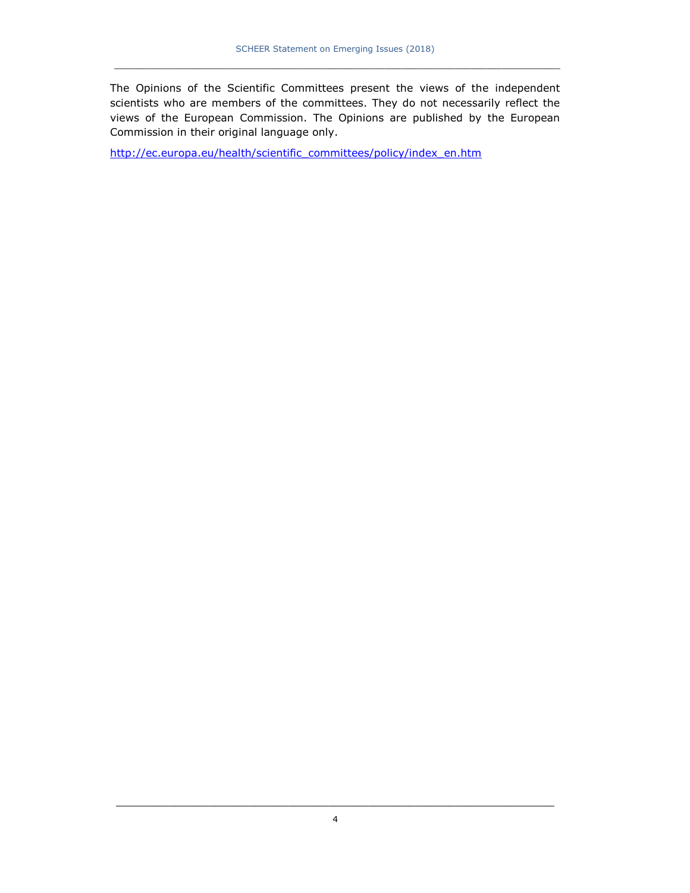The Opinions of the Scientific Committees present the views of the independent scientists who are members of the committees. They do not necessarily reflect the views of the European Commission. The Opinions are published by the European Commission in their original language only.

[http://ec.europa.eu/health/scientific\\_committees/policy/index\\_en.htm](http://ec.europa.eu/health/scientific_committees/policy/index_en.htm)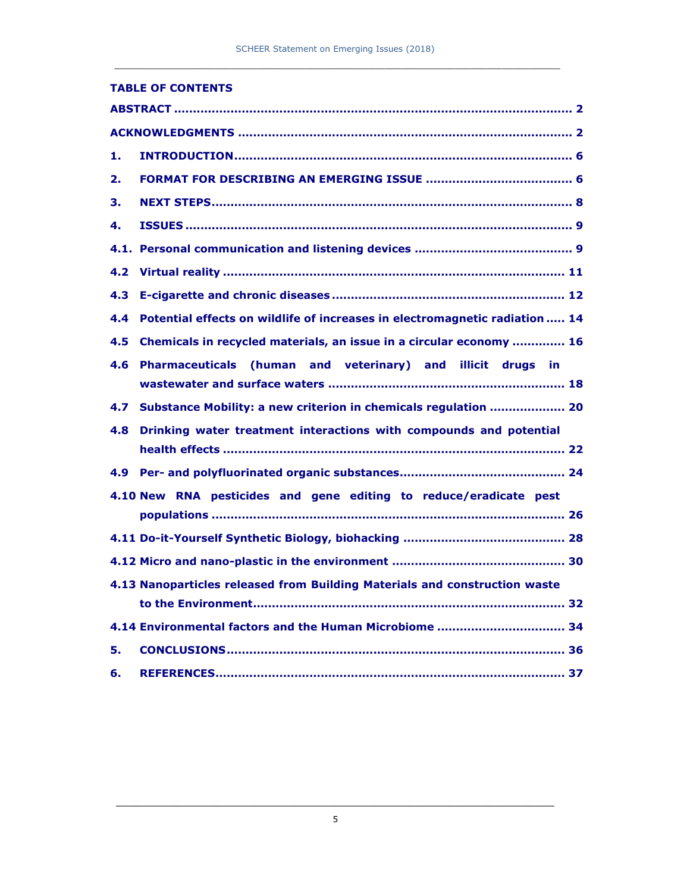|     | <b>TABLE OF CONTENTS</b>                                                    |
|-----|-----------------------------------------------------------------------------|
|     |                                                                             |
|     |                                                                             |
| 1.  |                                                                             |
| 2.  |                                                                             |
| З.  |                                                                             |
| 4.  |                                                                             |
|     |                                                                             |
|     |                                                                             |
|     |                                                                             |
| 4.4 | Potential effects on wildlife of increases in electromagnetic radiation  14 |
|     | 4.5 Chemicals in recycled materials, an issue in a circular economy  16     |
|     | 4.6 Pharmaceuticals (human and veterinary) and illicit drugs in             |
|     |                                                                             |
|     | 4.7 Substance Mobility: a new criterion in chemicals regulation  20         |
|     | 4.8 Drinking water treatment interactions with compounds and potential      |
|     |                                                                             |
|     |                                                                             |
|     | 4.10 New RNA pesticides and gene editing to reduce/eradicate pest           |
|     |                                                                             |
|     |                                                                             |
|     |                                                                             |
|     | 4.13 Nanoparticles released from Building Materials and construction waste  |
|     |                                                                             |
|     | 4.14 Environmental factors and the Human Microbiome  34                     |
| 5.  |                                                                             |
| 6.  |                                                                             |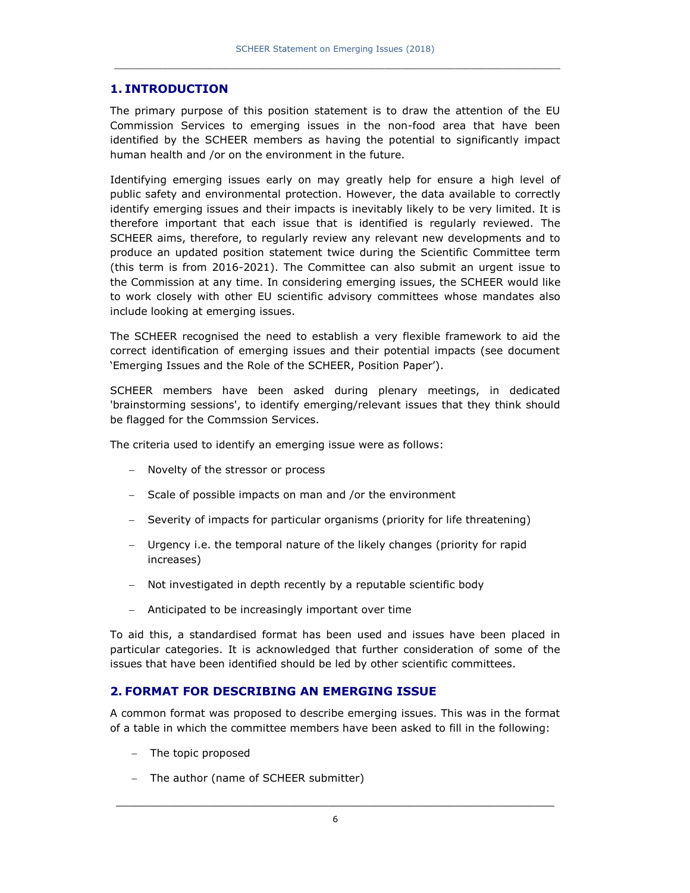### **1. INTRODUCTION**

The primary purpose of this position statement is to draw the attention of the EU Commission Services to emerging issues in the non-food area that have been identified by the SCHEER members as having the potential to significantly impact human health and /or on the environment in the future.

Identifying emerging issues early on may greatly help for ensure a high level of public safety and environmental protection. However, the data available to correctly identify emerging issues and their impacts is inevitably likely to be very limited. It is therefore important that each issue that is identified is regularly reviewed. The SCHEER aims, therefore, to regularly review any relevant new developments and to produce an updated position statement twice during the Scientific Committee term (this term is from 2016-2021). The Committee can also submit an urgent issue to the Commission at any time. In considering emerging issues, the SCHEER would like to work closely with other EU scientific advisory committees whose mandates also include looking at emerging issues.

The SCHEER recognised the need to establish a very flexible framework to aid the correct identification of emerging issues and their potential impacts (see document 'Emerging Issues and the Role of the SCHEER, Position Paper').

SCHEER members have been asked during plenary meetings, in dedicated 'brainstorming sessions', to identify emerging/relevant issues that they think should be flagged for the Commssion Services.

The criteria used to identify an emerging issue were as follows:

- Novelty of the stressor or process
- Scale of possible impacts on man and /or the environment
- Severity of impacts for particular organisms (priority for life threatening)
- Urgency i.e. the temporal nature of the likely changes (priority for rapid increases)
- Not investigated in depth recently by a reputable scientific body
- Anticipated to be increasingly important over time

To aid this, a standardised format has been used and issues have been placed in particular categories. It is acknowledged that further consideration of some of the issues that have been identified should be led by other scientific committees.

### **2. FORMAT FOR DESCRIBING AN EMERGING ISSUE**

A common format was proposed to describe emerging issues. This was in the format of a table in which the committee members have been asked to fill in the following:

- The topic proposed
- The author (name of SCHEER submitter)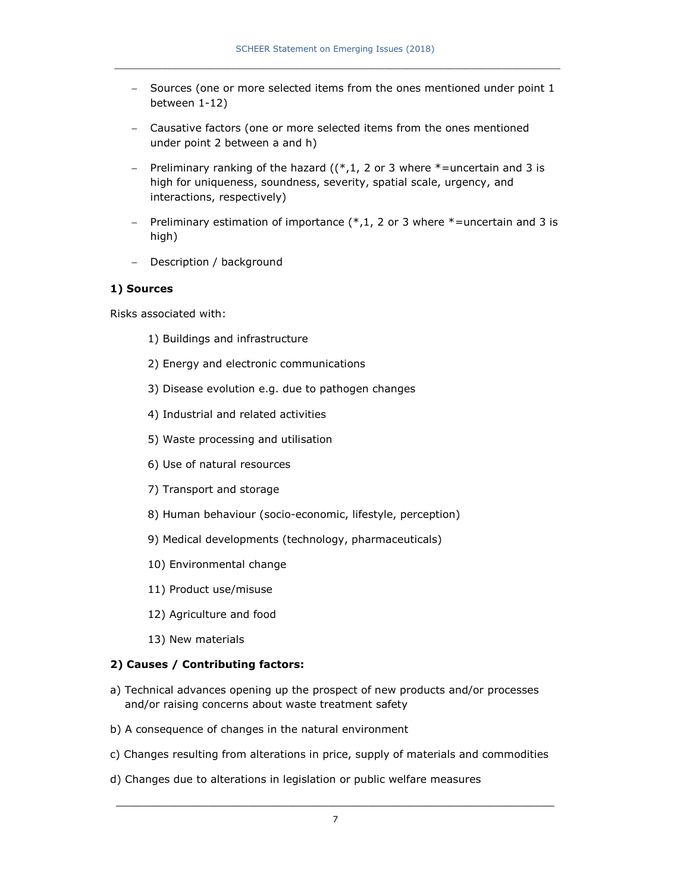- Sources (one or more selected items from the ones mentioned under point 1 between 1-12)
- Causative factors (one or more selected items from the ones mentioned under point 2 between a and h)
- Preliminary ranking of the hazard  $((*,1, 2 \text{ or } 3 \text{ where } *=$ uncertain and 3 is high for uniqueness, soundness, severity, spatial scale, urgency, and interactions, respectively)
- Preliminary estimation of importance  $(*,1, 2)$  or 3 where  $*$ =uncertain and 3 is high)
- Description / background

#### **1) Sources**

Risks associated with:

- 1) Buildings and infrastructure
- 2) Energy and electronic communications
- 3) Disease evolution e.g. due to pathogen changes
- 4) Industrial and related activities
- 5) Waste processing and utilisation
- 6) Use of natural resources
- 7) Transport and storage
- 8) Human behaviour (socio-economic, lifestyle, perception)
- 9) Medical developments (technology, pharmaceuticals)
- 10) Environmental change
- 11) Product use/misuse
- 12) Agriculture and food
- 13) New materials

#### **2) Causes / Contributing factors:**

- a) Technical advances opening up the prospect of new products and/or processes and/or raising concerns about waste treatment safety
- b) A consequence of changes in the natural environment
- c) Changes resulting from alterations in price, supply of materials and commodities
- d) Changes due to alterations in legislation or public welfare measures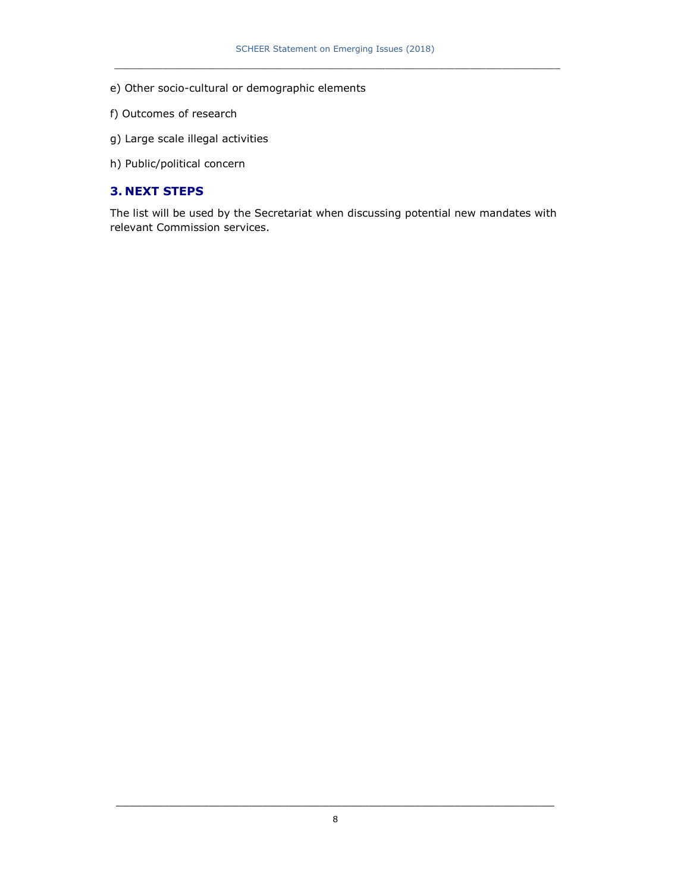- e) Other socio-cultural or demographic elements
- f) Outcomes of research
- g) Large scale illegal activities
- h) Public/political concern

### **3. NEXT STEPS**

The list will be used by the Secretariat when discussing potential new mandates with relevant Commission services.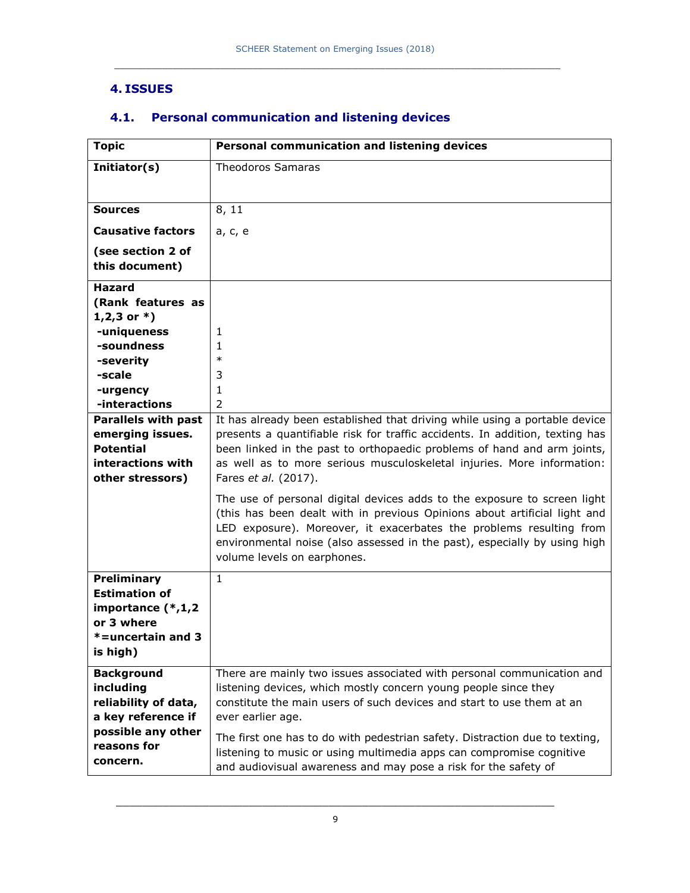### **4. ISSUES**

| <b>Topic</b>                             | Personal communication and listening devices                                                                                                          |  |  |
|------------------------------------------|-------------------------------------------------------------------------------------------------------------------------------------------------------|--|--|
| Initiator(s)                             | <b>Theodoros Samaras</b>                                                                                                                              |  |  |
|                                          |                                                                                                                                                       |  |  |
| <b>Sources</b>                           | 8, 11                                                                                                                                                 |  |  |
| <b>Causative factors</b>                 | a, c, e                                                                                                                                               |  |  |
|                                          |                                                                                                                                                       |  |  |
| (see section 2 of<br>this document)      |                                                                                                                                                       |  |  |
|                                          |                                                                                                                                                       |  |  |
| <b>Hazard</b>                            |                                                                                                                                                       |  |  |
| (Rank features as                        |                                                                                                                                                       |  |  |
| $1,2,3$ or $*)$<br>-uniqueness           |                                                                                                                                                       |  |  |
| -soundness                               | 1<br>1                                                                                                                                                |  |  |
| -severity                                | $\ast$                                                                                                                                                |  |  |
| -scale                                   | 3                                                                                                                                                     |  |  |
| -urgency                                 | 1                                                                                                                                                     |  |  |
| -interactions                            | $\overline{2}$                                                                                                                                        |  |  |
| <b>Parallels with past</b>               | It has already been established that driving while using a portable device                                                                            |  |  |
| emerging issues.                         | presents a quantifiable risk for traffic accidents. In addition, texting has                                                                          |  |  |
| <b>Potential</b>                         | been linked in the past to orthopaedic problems of hand and arm joints,                                                                               |  |  |
| interactions with                        | as well as to more serious musculoskeletal injuries. More information:                                                                                |  |  |
| other stressors)                         | Fares et al. (2017).                                                                                                                                  |  |  |
|                                          | The use of personal digital devices adds to the exposure to screen light<br>(this has been dealt with in previous Opinions about artificial light and |  |  |
|                                          | LED exposure). Moreover, it exacerbates the problems resulting from                                                                                   |  |  |
|                                          | environmental noise (also assessed in the past), especially by using high                                                                             |  |  |
|                                          | volume levels on earphones.                                                                                                                           |  |  |
| Preliminary                              | $\mathbf{1}$                                                                                                                                          |  |  |
| <b>Estimation of</b>                     |                                                                                                                                                       |  |  |
| importance $(*,1,2)$                     |                                                                                                                                                       |  |  |
| or 3 where                               |                                                                                                                                                       |  |  |
| $* =$ uncertain and 3                    |                                                                                                                                                       |  |  |
| is high)                                 |                                                                                                                                                       |  |  |
| <b>Background</b>                        | There are mainly two issues associated with personal communication and                                                                                |  |  |
| including                                | listening devices, which mostly concern young people since they                                                                                       |  |  |
| reliability of data,                     | constitute the main users of such devices and start to use them at an                                                                                 |  |  |
| a key reference if<br>possible any other | ever earlier age.                                                                                                                                     |  |  |
| reasons for                              | The first one has to do with pedestrian safety. Distraction due to texting,                                                                           |  |  |
| concern.                                 | listening to music or using multimedia apps can compromise cognitive                                                                                  |  |  |
|                                          | and audiovisual awareness and may pose a risk for the safety of                                                                                       |  |  |

## **4.1. Personal communication and listening devices**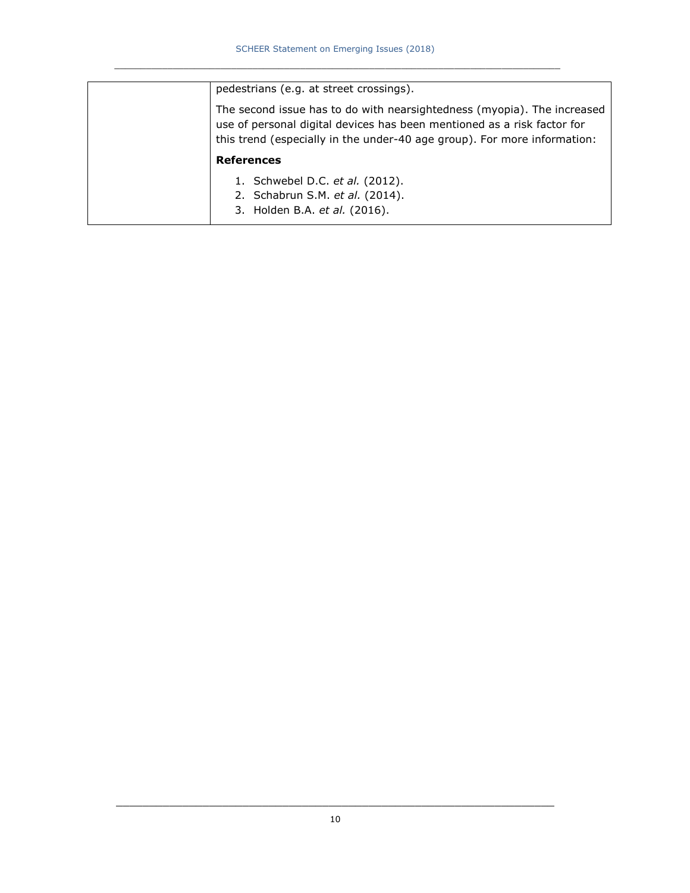| pedestrians (e.g. at street crossings).                                                                                                                                                                                        |  |  |  |  |  |
|--------------------------------------------------------------------------------------------------------------------------------------------------------------------------------------------------------------------------------|--|--|--|--|--|
| The second issue has to do with nearsightedness (myopia). The increased<br>use of personal digital devices has been mentioned as a risk factor for<br>this trend (especially in the under-40 age group). For more information: |  |  |  |  |  |
| <b>References</b>                                                                                                                                                                                                              |  |  |  |  |  |
| 1. Schwebel D.C. et al. (2012).                                                                                                                                                                                                |  |  |  |  |  |
| 2. Schabrun S.M. et al. (2014).                                                                                                                                                                                                |  |  |  |  |  |
| 3. Holden B.A. et al. (2016).                                                                                                                                                                                                  |  |  |  |  |  |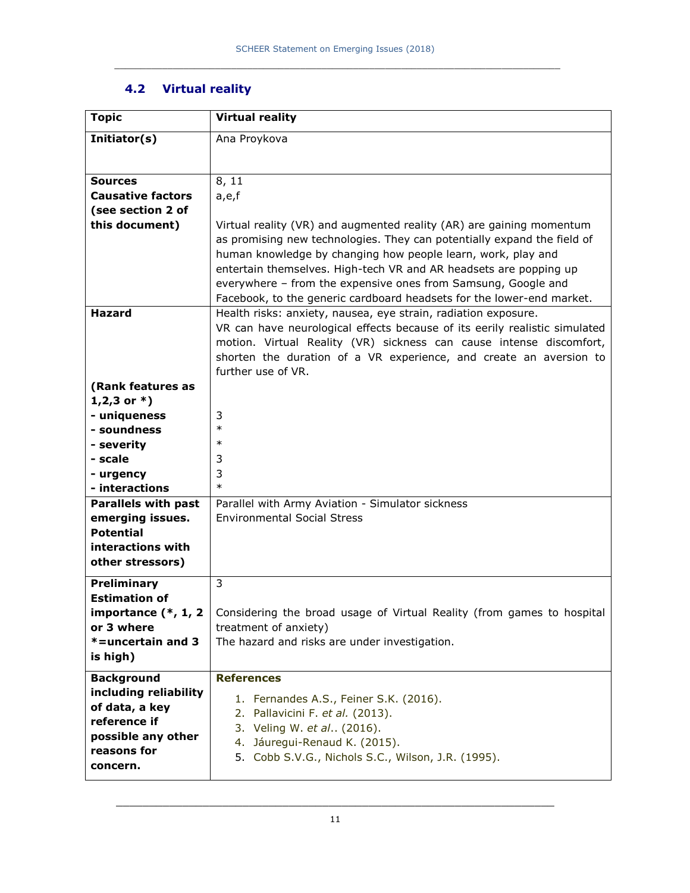## **4.2 Virtual reality**

| <b>Topic</b>                          | <b>Virtual reality</b>                                                                                                            |  |  |  |  |
|---------------------------------------|-----------------------------------------------------------------------------------------------------------------------------------|--|--|--|--|
| Initiator(s)                          | Ana Proykova                                                                                                                      |  |  |  |  |
|                                       |                                                                                                                                   |  |  |  |  |
| <b>Sources</b>                        | 8, 11                                                                                                                             |  |  |  |  |
| <b>Causative factors</b>              | a,e,f                                                                                                                             |  |  |  |  |
| (see section 2 of                     |                                                                                                                                   |  |  |  |  |
| this document)                        | Virtual reality (VR) and augmented reality (AR) are gaining momentum                                                              |  |  |  |  |
|                                       | as promising new technologies. They can potentially expand the field of                                                           |  |  |  |  |
|                                       | human knowledge by changing how people learn, work, play and<br>entertain themselves. High-tech VR and AR headsets are popping up |  |  |  |  |
|                                       | everywhere - from the expensive ones from Samsung, Google and                                                                     |  |  |  |  |
|                                       | Facebook, to the generic cardboard headsets for the lower-end market.                                                             |  |  |  |  |
| <b>Hazard</b>                         | Health risks: anxiety, nausea, eye strain, radiation exposure.                                                                    |  |  |  |  |
|                                       | VR can have neurological effects because of its eerily realistic simulated                                                        |  |  |  |  |
|                                       | motion. Virtual Reality (VR) sickness can cause intense discomfort,                                                               |  |  |  |  |
|                                       | shorten the duration of a VR experience, and create an aversion to                                                                |  |  |  |  |
|                                       | further use of VR.                                                                                                                |  |  |  |  |
| (Rank features as<br>$1,2,3$ or $*$ ) |                                                                                                                                   |  |  |  |  |
| - uniqueness                          | 3                                                                                                                                 |  |  |  |  |
| - soundness                           | $\ast$                                                                                                                            |  |  |  |  |
| - severity                            | $\ast$                                                                                                                            |  |  |  |  |
| - scale                               | 3                                                                                                                                 |  |  |  |  |
| - urgency                             | 3                                                                                                                                 |  |  |  |  |
| - interactions                        | $\ast$                                                                                                                            |  |  |  |  |
| <b>Parallels with past</b>            | Parallel with Army Aviation - Simulator sickness                                                                                  |  |  |  |  |
| emerging issues.<br><b>Potential</b>  | <b>Environmental Social Stress</b>                                                                                                |  |  |  |  |
| interactions with                     |                                                                                                                                   |  |  |  |  |
| other stressors)                      |                                                                                                                                   |  |  |  |  |
| Preliminary                           | 3                                                                                                                                 |  |  |  |  |
| <b>Estimation of</b>                  |                                                                                                                                   |  |  |  |  |
|                                       | <b>importance (*, 1, 2</b>   Considering the broad usage of Virtual Reality (from games to hospital                               |  |  |  |  |
| or 3 where                            | treatment of anxiety)                                                                                                             |  |  |  |  |
| *=uncertain and 3                     | The hazard and risks are under investigation.                                                                                     |  |  |  |  |
| is high)                              |                                                                                                                                   |  |  |  |  |
| <b>Background</b>                     | <b>References</b>                                                                                                                 |  |  |  |  |
| including reliability                 | 1. Fernandes A.S., Feiner S.K. (2016).                                                                                            |  |  |  |  |
| of data, a key                        | 2. Pallavicini F. et al. (2013).                                                                                                  |  |  |  |  |
| reference if                          | 3. Veling W. et al (2016).                                                                                                        |  |  |  |  |
| possible any other<br>reasons for     | 4. Jáuregui-Renaud K. (2015).                                                                                                     |  |  |  |  |
| concern.                              | 5. Cobb S.V.G., Nichols S.C., Wilson, J.R. (1995).                                                                                |  |  |  |  |
|                                       |                                                                                                                                   |  |  |  |  |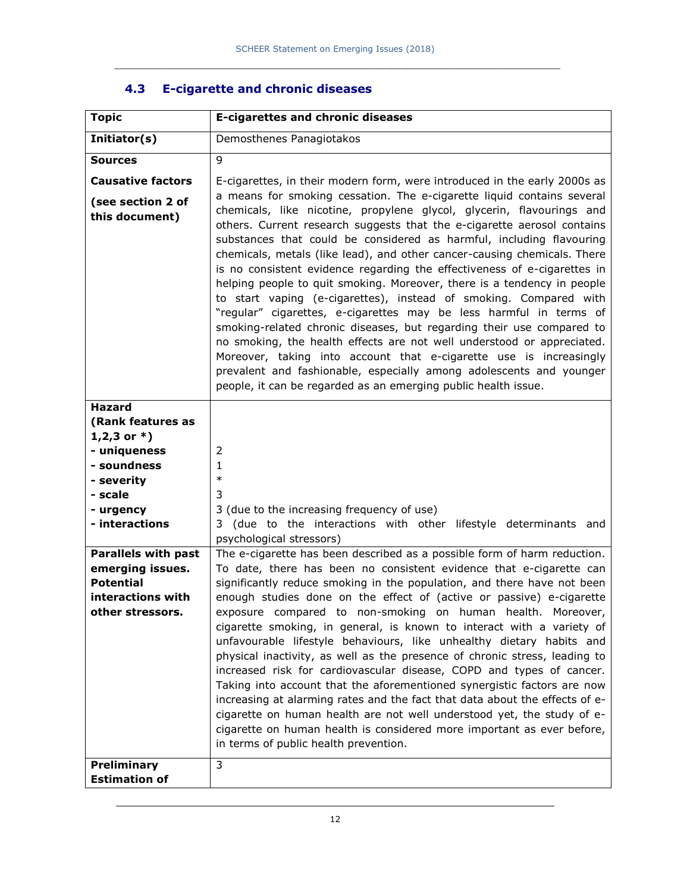| <b>Topic</b>                                                                                                                                                                                                                                               | <b>E-cigarettes and chronic diseases</b>                                                                                                                                                                                                                                                                                                                                                                                                                                                                                                                                                                                                                                                                                                                                                                                                                                                                                                                                                                                                                                                                                                                          |
|------------------------------------------------------------------------------------------------------------------------------------------------------------------------------------------------------------------------------------------------------------|-------------------------------------------------------------------------------------------------------------------------------------------------------------------------------------------------------------------------------------------------------------------------------------------------------------------------------------------------------------------------------------------------------------------------------------------------------------------------------------------------------------------------------------------------------------------------------------------------------------------------------------------------------------------------------------------------------------------------------------------------------------------------------------------------------------------------------------------------------------------------------------------------------------------------------------------------------------------------------------------------------------------------------------------------------------------------------------------------------------------------------------------------------------------|
| Initiator(s)                                                                                                                                                                                                                                               | Demosthenes Panagiotakos                                                                                                                                                                                                                                                                                                                                                                                                                                                                                                                                                                                                                                                                                                                                                                                                                                                                                                                                                                                                                                                                                                                                          |
| <b>Sources</b>                                                                                                                                                                                                                                             | $\mathsf{Q}$                                                                                                                                                                                                                                                                                                                                                                                                                                                                                                                                                                                                                                                                                                                                                                                                                                                                                                                                                                                                                                                                                                                                                      |
| <b>Causative factors</b><br>(see section 2 of<br>this document)                                                                                                                                                                                            | E-cigarettes, in their modern form, were introduced in the early 2000s as<br>a means for smoking cessation. The e-cigarette liquid contains several<br>chemicals, like nicotine, propylene glycol, glycerin, flavourings and<br>others. Current research suggests that the e-cigarette aerosol contains<br>substances that could be considered as harmful, including flavouring<br>chemicals, metals (like lead), and other cancer-causing chemicals. There<br>is no consistent evidence regarding the effectiveness of e-cigarettes in<br>helping people to quit smoking. Moreover, there is a tendency in people<br>to start vaping (e-cigarettes), instead of smoking. Compared with<br>"regular" cigarettes, e-cigarettes may be less harmful in terms of<br>smoking-related chronic diseases, but regarding their use compared to<br>no smoking, the health effects are not well understood or appreciated.<br>Moreover, taking into account that e-cigarette use is increasingly<br>prevalent and fashionable, especially among adolescents and younger<br>people, it can be regarded as an emerging public health issue.                                   |
| <b>Hazard</b><br>(Rank features as<br>$1,2,3$ or $*)$<br>- uniqueness<br>- soundness<br>- severity<br>- scale<br>- urgency<br>- interactions<br><b>Parallels with past</b><br>emerging issues.<br><b>Potential</b><br>interactions with<br>other stressors | 2<br>1<br>$\ast$<br>3<br>3 (due to the increasing frequency of use)<br>(due to the interactions with other lifestyle determinants and<br>3.<br>psychological stressors)<br>The e-cigarette has been described as a possible form of harm reduction.<br>To date, there has been no consistent evidence that e-cigarette can<br>significantly reduce smoking in the population, and there have not been<br>enough studies done on the effect of (active or passive) e-cigarette<br>exposure compared to non-smoking on human health. Moreover,<br>cigarette smoking, in general, is known to interact with a variety of<br>unfavourable lifestyle behaviours, like unhealthy dietary habits and<br>physical inactivity, as well as the presence of chronic stress, leading to<br>increased risk for cardiovascular disease, COPD and types of cancer.<br>Taking into account that the aforementioned synergistic factors are now<br>increasing at alarming rates and the fact that data about the effects of e-<br>cigarette on human health are not well understood yet, the study of e-<br>cigarette on human health is considered more important as ever before, |
| <b>Preliminary</b><br><b>Estimation of</b>                                                                                                                                                                                                                 | in terms of public health prevention.<br>3                                                                                                                                                                                                                                                                                                                                                                                                                                                                                                                                                                                                                                                                                                                                                                                                                                                                                                                                                                                                                                                                                                                        |

## **4.3 E-cigarette and chronic diseases**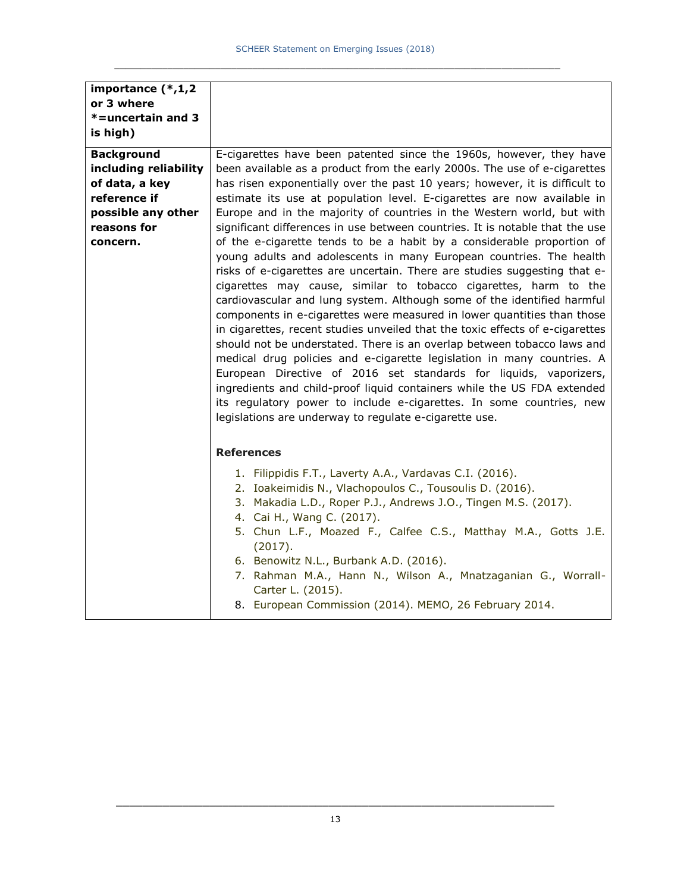| importance (*,1,2     |                                                                                                                                                                                                                                                                                                                                                                                                                                                                                                                                                                                                                                                                                                                                                                                                                                                                                                                                                                              |
|-----------------------|------------------------------------------------------------------------------------------------------------------------------------------------------------------------------------------------------------------------------------------------------------------------------------------------------------------------------------------------------------------------------------------------------------------------------------------------------------------------------------------------------------------------------------------------------------------------------------------------------------------------------------------------------------------------------------------------------------------------------------------------------------------------------------------------------------------------------------------------------------------------------------------------------------------------------------------------------------------------------|
| or 3 where            |                                                                                                                                                                                                                                                                                                                                                                                                                                                                                                                                                                                                                                                                                                                                                                                                                                                                                                                                                                              |
| *=uncertain and 3     |                                                                                                                                                                                                                                                                                                                                                                                                                                                                                                                                                                                                                                                                                                                                                                                                                                                                                                                                                                              |
|                       |                                                                                                                                                                                                                                                                                                                                                                                                                                                                                                                                                                                                                                                                                                                                                                                                                                                                                                                                                                              |
| is high)              |                                                                                                                                                                                                                                                                                                                                                                                                                                                                                                                                                                                                                                                                                                                                                                                                                                                                                                                                                                              |
| <b>Background</b>     | E-cigarettes have been patented since the 1960s, however, they have                                                                                                                                                                                                                                                                                                                                                                                                                                                                                                                                                                                                                                                                                                                                                                                                                                                                                                          |
| including reliability | been available as a product from the early 2000s. The use of e-cigarettes                                                                                                                                                                                                                                                                                                                                                                                                                                                                                                                                                                                                                                                                                                                                                                                                                                                                                                    |
| of data, a key        | has risen exponentially over the past 10 years; however, it is difficult to                                                                                                                                                                                                                                                                                                                                                                                                                                                                                                                                                                                                                                                                                                                                                                                                                                                                                                  |
| reference if          | estimate its use at population level. E-cigarettes are now available in                                                                                                                                                                                                                                                                                                                                                                                                                                                                                                                                                                                                                                                                                                                                                                                                                                                                                                      |
| possible any other    | Europe and in the majority of countries in the Western world, but with                                                                                                                                                                                                                                                                                                                                                                                                                                                                                                                                                                                                                                                                                                                                                                                                                                                                                                       |
| reasons for           | significant differences in use between countries. It is notable that the use                                                                                                                                                                                                                                                                                                                                                                                                                                                                                                                                                                                                                                                                                                                                                                                                                                                                                                 |
| concern.              | of the e-cigarette tends to be a habit by a considerable proportion of<br>young adults and adolescents in many European countries. The health<br>risks of e-cigarettes are uncertain. There are studies suggesting that e-<br>cigarettes may cause, similar to tobacco cigarettes, harm to the<br>cardiovascular and lung system. Although some of the identified harmful<br>components in e-cigarettes were measured in lower quantities than those<br>in cigarettes, recent studies unveiled that the toxic effects of e-cigarettes<br>should not be understated. There is an overlap between tobacco laws and<br>medical drug policies and e-cigarette legislation in many countries. A<br>European Directive of 2016 set standards for liquids, vaporizers,<br>ingredients and child-proof liquid containers while the US FDA extended<br>its regulatory power to include e-cigarettes. In some countries, new<br>legislations are underway to regulate e-cigarette use. |
|                       | <b>References</b>                                                                                                                                                                                                                                                                                                                                                                                                                                                                                                                                                                                                                                                                                                                                                                                                                                                                                                                                                            |
|                       | 1. Filippidis F.T., Laverty A.A., Vardavas C.I. (2016).<br>2. Ioakeimidis N., Vlachopoulos C., Tousoulis D. (2016).<br>3. Makadia L.D., Roper P.J., Andrews J.O., Tingen M.S. (2017).<br>4. Cai H., Wang C. (2017).<br>5. Chun L.F., Moazed F., Calfee C.S., Matthay M.A., Gotts J.E.<br>(2017).<br>6. Benowitz N.L., Burbank A.D. (2016).<br>7. Rahman M.A., Hann N., Wilson A., Mnatzaganian G., Worrall-<br>Carter L. (2015).<br>8. European Commission (2014). MEMO, 26 February 2014.                                                                                                                                                                                                                                                                                                                                                                                                                                                                                   |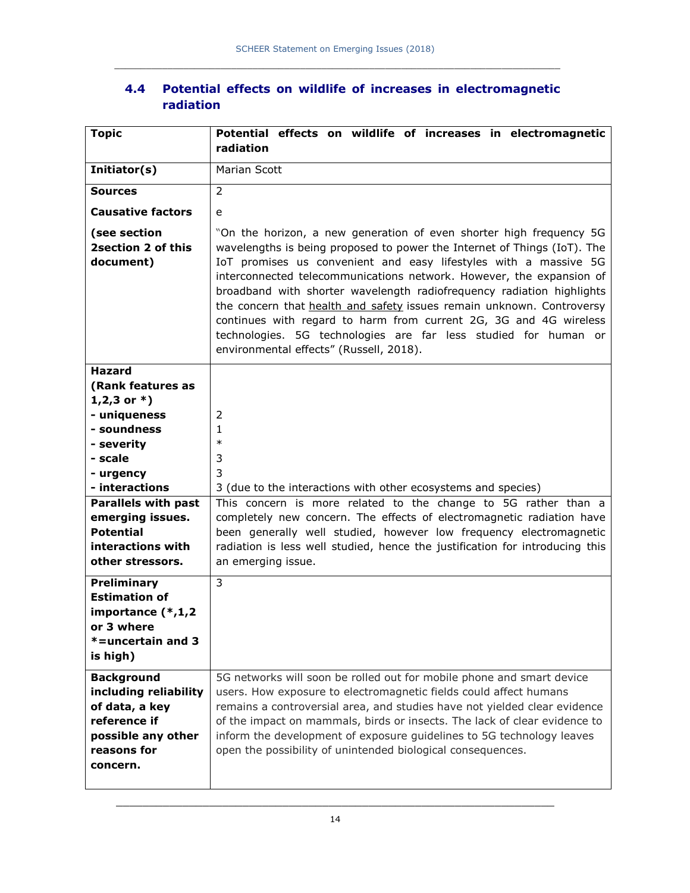|           |  |  |  | 4.4 Potential effects on wildlife of increases in electromagnetic |
|-----------|--|--|--|-------------------------------------------------------------------|
| radiation |  |  |  |                                                                   |

| <b>Topic</b>                                                                                                                                | Potential effects on wildlife of increases in electromagnetic<br>radiation                                                                                                                                                                                                                                                                                                                                                                                                                                                                                                                                                       |
|---------------------------------------------------------------------------------------------------------------------------------------------|----------------------------------------------------------------------------------------------------------------------------------------------------------------------------------------------------------------------------------------------------------------------------------------------------------------------------------------------------------------------------------------------------------------------------------------------------------------------------------------------------------------------------------------------------------------------------------------------------------------------------------|
| Initiator(s)                                                                                                                                | Marian Scott                                                                                                                                                                                                                                                                                                                                                                                                                                                                                                                                                                                                                     |
| <b>Sources</b>                                                                                                                              | 2                                                                                                                                                                                                                                                                                                                                                                                                                                                                                                                                                                                                                                |
| <b>Causative factors</b>                                                                                                                    | e                                                                                                                                                                                                                                                                                                                                                                                                                                                                                                                                                                                                                                |
| (see section<br>2 section 2 of this<br>document)                                                                                            | "On the horizon, a new generation of even shorter high frequency 5G<br>wavelengths is being proposed to power the Internet of Things (IoT). The<br>IoT promises us convenient and easy lifestyles with a massive 5G<br>interconnected telecommunications network. However, the expansion of<br>broadband with shorter wavelength radiofrequency radiation highlights<br>the concern that health and safety issues remain unknown. Controversy<br>continues with regard to harm from current 2G, 3G and 4G wireless<br>technologies. 5G technologies are far less studied for human or<br>environmental effects" (Russell, 2018). |
| <b>Hazard</b><br>(Rank features as<br>1,2,3 or $*$ )<br>- uniqueness<br>- soundness<br>- severity<br>- scale<br>- urgency<br>- interactions | 2<br>1<br>$\ast$<br>3<br>3<br>3 (due to the interactions with other ecosystems and species)                                                                                                                                                                                                                                                                                                                                                                                                                                                                                                                                      |
| <b>Parallels with past</b><br>emerging issues.<br><b>Potential</b><br>interactions with<br>other stressors.                                 | This concern is more related to the change to 5G rather than a<br>completely new concern. The effects of electromagnetic radiation have<br>been generally well studied, however low frequency electromagnetic<br>radiation is less well studied, hence the justification for introducing this<br>an emerging issue.                                                                                                                                                                                                                                                                                                              |
| <b>Preliminary</b><br><b>Estimation of</b><br>importance (*,1,2<br>or 3 where<br>*=uncertain and 3<br>is high)                              | 3                                                                                                                                                                                                                                                                                                                                                                                                                                                                                                                                                                                                                                |
| <b>Background</b><br>including reliability<br>of data, a key<br>reference if<br>possible any other<br>reasons for<br>concern.               | 5G networks will soon be rolled out for mobile phone and smart device<br>users. How exposure to electromagnetic fields could affect humans<br>remains a controversial area, and studies have not yielded clear evidence<br>of the impact on mammals, birds or insects. The lack of clear evidence to<br>inform the development of exposure guidelines to 5G technology leaves<br>open the possibility of unintended biological consequences.                                                                                                                                                                                     |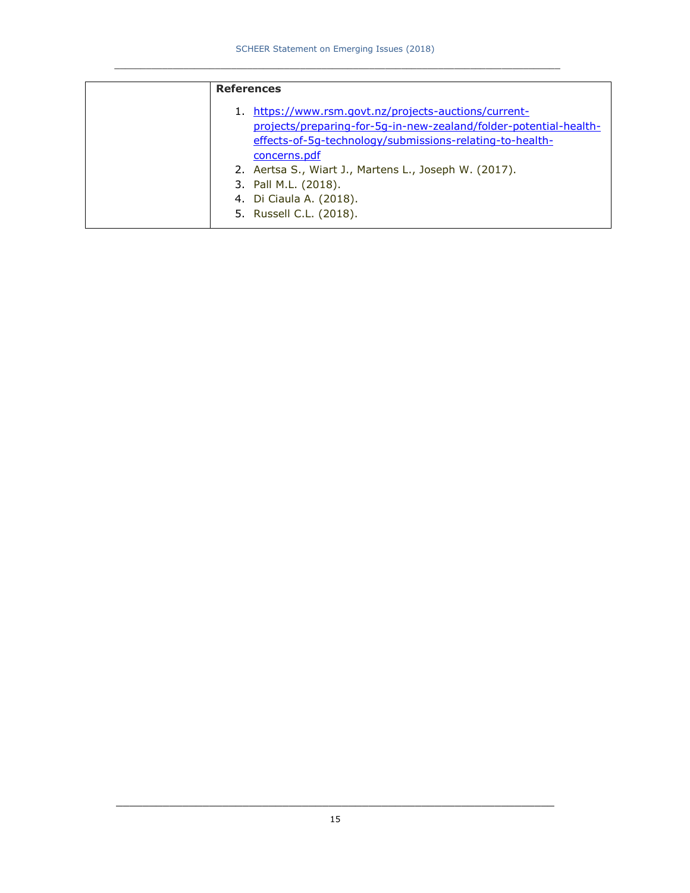| <b>References</b>                                                                                                                                                                                                                                                                                                  |
|--------------------------------------------------------------------------------------------------------------------------------------------------------------------------------------------------------------------------------------------------------------------------------------------------------------------|
| 1. https://www.rsm.govt.nz/projects-auctions/current-<br>projects/preparing-for-5g-in-new-zealand/folder-potential-health-<br>effects-of-5q-technology/submissions-relating-to-health-<br>concerns.pdf<br>2. Aertsa S., Wiart J., Martens L., Joseph W. (2017).<br>3. Pall M.L. (2018).<br>4. Di Ciaula A. (2018). |
| 5. Russell C.L. (2018).                                                                                                                                                                                                                                                                                            |
|                                                                                                                                                                                                                                                                                                                    |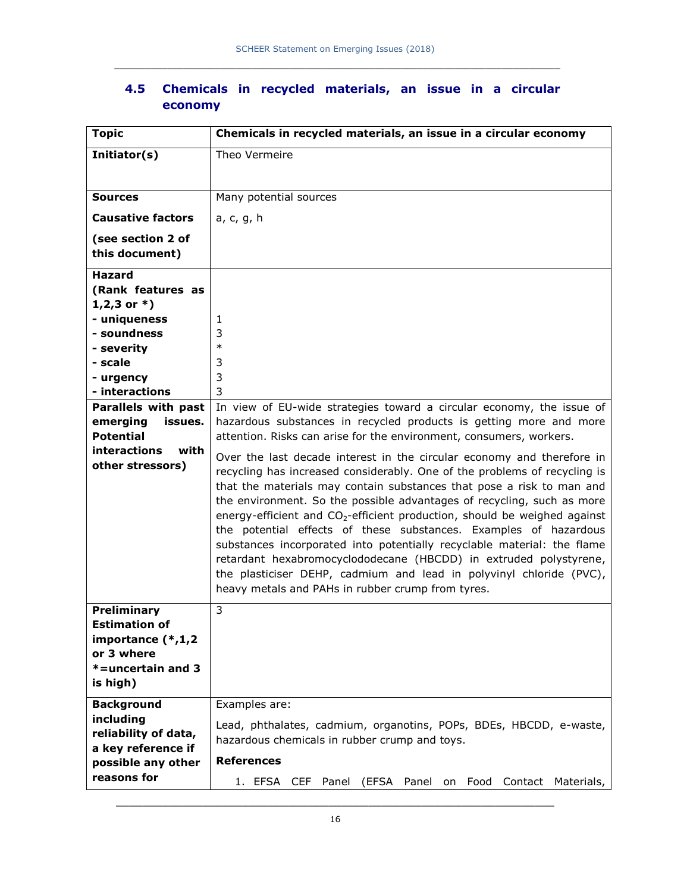| <b>Topic</b>                                                                                                      | Chemicals in recycled materials, an issue in a circular economy                                                                                                                                                                                                                                                                                                                                                                                                                                                                                                                                                                                                                                                                                                      |  |  |  |  |
|-------------------------------------------------------------------------------------------------------------------|----------------------------------------------------------------------------------------------------------------------------------------------------------------------------------------------------------------------------------------------------------------------------------------------------------------------------------------------------------------------------------------------------------------------------------------------------------------------------------------------------------------------------------------------------------------------------------------------------------------------------------------------------------------------------------------------------------------------------------------------------------------------|--|--|--|--|
| Initiator(s)                                                                                                      | Theo Vermeire                                                                                                                                                                                                                                                                                                                                                                                                                                                                                                                                                                                                                                                                                                                                                        |  |  |  |  |
|                                                                                                                   |                                                                                                                                                                                                                                                                                                                                                                                                                                                                                                                                                                                                                                                                                                                                                                      |  |  |  |  |
| <b>Sources</b>                                                                                                    | Many potential sources                                                                                                                                                                                                                                                                                                                                                                                                                                                                                                                                                                                                                                                                                                                                               |  |  |  |  |
| <b>Causative factors</b>                                                                                          | a, c, g, h                                                                                                                                                                                                                                                                                                                                                                                                                                                                                                                                                                                                                                                                                                                                                           |  |  |  |  |
| (see section 2 of<br>this document)                                                                               |                                                                                                                                                                                                                                                                                                                                                                                                                                                                                                                                                                                                                                                                                                                                                                      |  |  |  |  |
| <b>Hazard</b><br>(Rank features as<br>$1,2,3$ or $*$ )<br>- uniqueness<br>- soundness                             | 1<br>3                                                                                                                                                                                                                                                                                                                                                                                                                                                                                                                                                                                                                                                                                                                                                               |  |  |  |  |
| - severity<br>- scale<br>- urgency                                                                                | $\ast$<br>3<br>3                                                                                                                                                                                                                                                                                                                                                                                                                                                                                                                                                                                                                                                                                                                                                     |  |  |  |  |
| - interactions                                                                                                    | 3                                                                                                                                                                                                                                                                                                                                                                                                                                                                                                                                                                                                                                                                                                                                                                    |  |  |  |  |
| Parallels with past<br>emerging<br>issues.<br><b>Potential</b><br>interactions<br>with<br>other stressors)        | In view of EU-wide strategies toward a circular economy, the issue of<br>hazardous substances in recycled products is getting more and more<br>attention. Risks can arise for the environment, consumers, workers.<br>Over the last decade interest in the circular economy and therefore in<br>recycling has increased considerably. One of the problems of recycling is<br>that the materials may contain substances that pose a risk to man and<br>the environment. So the possible advantages of recycling, such as more<br>energy-efficient and CO <sub>2</sub> -efficient production, should be weighed against<br>the potential effects of these substances. Examples of hazardous<br>substances incorporated into potentially recyclable material: the flame |  |  |  |  |
|                                                                                                                   | retardant hexabromocyclododecane (HBCDD) in extruded polystyrene,<br>the plasticiser DEHP, cadmium and lead in polyvinyl chloride (PVC),<br>heavy metals and PAHs in rubber crump from tyres.                                                                                                                                                                                                                                                                                                                                                                                                                                                                                                                                                                        |  |  |  |  |
| Preliminary<br><b>Estimation of</b><br>importance (*,1,2<br>or 3 where<br>$* =$ uncertain and 3<br>is high)       | 3                                                                                                                                                                                                                                                                                                                                                                                                                                                                                                                                                                                                                                                                                                                                                                    |  |  |  |  |
| <b>Background</b><br>including<br>reliability of data,<br>a key reference if<br>possible any other<br>reasons for | Examples are:<br>Lead, phthalates, cadmium, organotins, POPs, BDEs, HBCDD, e-waste,<br>hazardous chemicals in rubber crump and toys.<br><b>References</b><br>1. EFSA CEF Panel<br>(EFSA Panel on Food Contact<br>Materials,                                                                                                                                                                                                                                                                                                                                                                                                                                                                                                                                          |  |  |  |  |

### **4.5 Chemicals in recycled materials, an issue in a circular economy**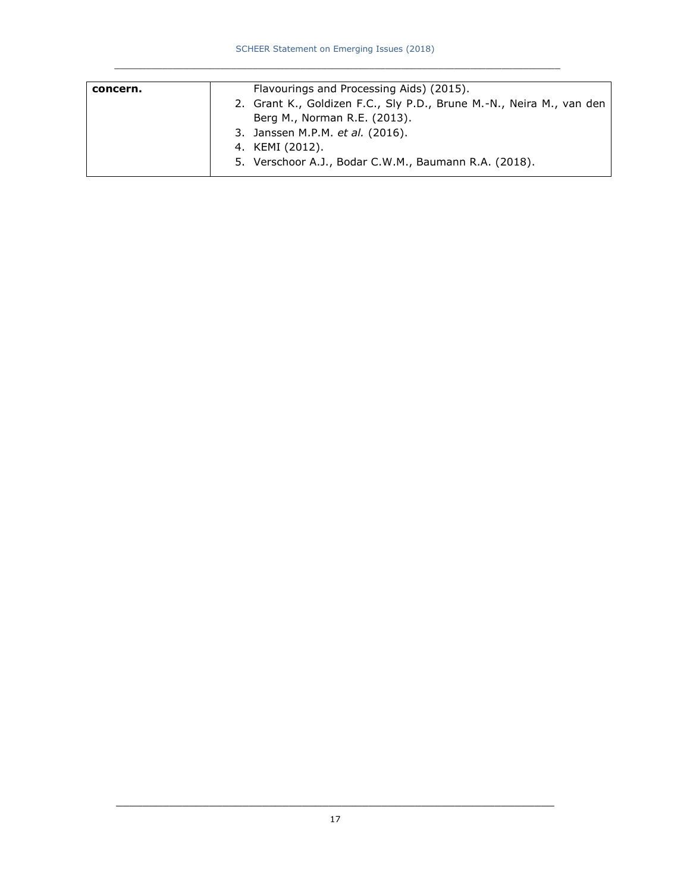| concern. | Flavourings and Processing Aids) (2015).                             |
|----------|----------------------------------------------------------------------|
|          | 2. Grant K., Goldizen F.C., Sly P.D., Brune M.-N., Neira M., van den |
|          | Berg M., Norman R.E. (2013).                                         |
|          | 3. Janssen M.P.M. et al. (2016).                                     |
|          | 4. KEMI (2012).                                                      |
|          | 5. Verschoor A.J., Bodar C.W.M., Baumann R.A. (2018).                |
|          |                                                                      |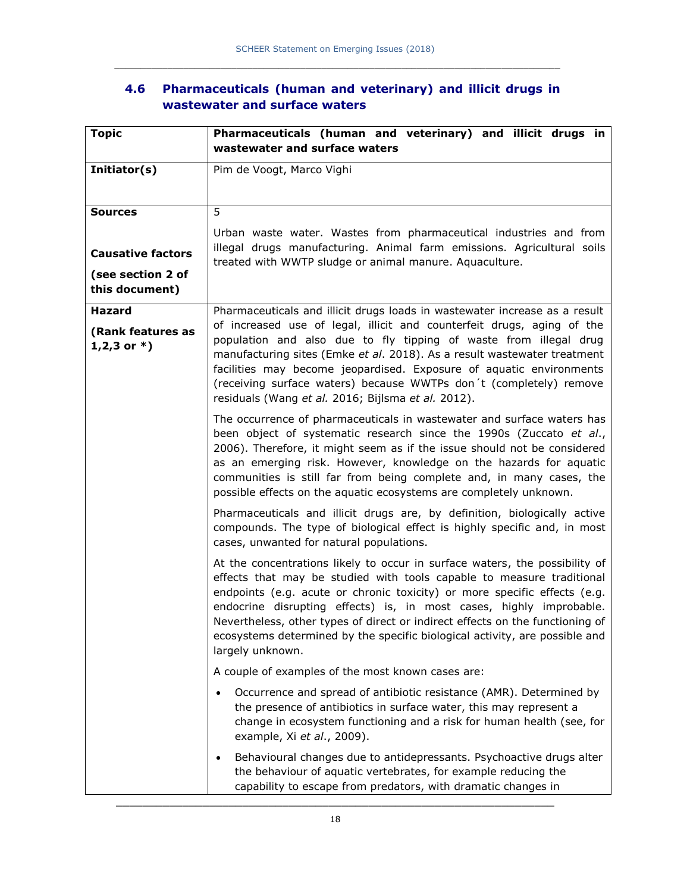### **4.6 Pharmaceuticals (human and veterinary) and illicit drugs in wastewater and surface waters**

| <b>Topic</b>                          | Pharmaceuticals (human and veterinary) and illicit drugs in<br>wastewater and surface waters                                                                                                                                                                                                                                                                                                                                                                                                 |
|---------------------------------------|----------------------------------------------------------------------------------------------------------------------------------------------------------------------------------------------------------------------------------------------------------------------------------------------------------------------------------------------------------------------------------------------------------------------------------------------------------------------------------------------|
| Initiator(s)                          | Pim de Voogt, Marco Vighi                                                                                                                                                                                                                                                                                                                                                                                                                                                                    |
|                                       |                                                                                                                                                                                                                                                                                                                                                                                                                                                                                              |
| <b>Sources</b>                        | 5                                                                                                                                                                                                                                                                                                                                                                                                                                                                                            |
|                                       | Urban waste water. Wastes from pharmaceutical industries and from                                                                                                                                                                                                                                                                                                                                                                                                                            |
| <b>Causative factors</b>              | illegal drugs manufacturing. Animal farm emissions. Agricultural soils<br>treated with WWTP sludge or animal manure. Aquaculture.                                                                                                                                                                                                                                                                                                                                                            |
| (see section 2 of<br>this document)   |                                                                                                                                                                                                                                                                                                                                                                                                                                                                                              |
| <b>Hazard</b>                         | Pharmaceuticals and illicit drugs loads in wastewater increase as a result                                                                                                                                                                                                                                                                                                                                                                                                                   |
| (Rank features as<br>$1,2,3$ or $*$ ) | of increased use of legal, illicit and counterfeit drugs, aging of the<br>population and also due to fly tipping of waste from illegal drug<br>manufacturing sites (Emke et al. 2018). As a result wastewater treatment<br>facilities may become jeopardised. Exposure of aquatic environments<br>(receiving surface waters) because WWTPs don't (completely) remove<br>residuals (Wang et al. 2016; Bijlsma et al. 2012).                                                                   |
|                                       | The occurrence of pharmaceuticals in wastewater and surface waters has<br>been object of systematic research since the 1990s (Zuccato et al.,<br>2006). Therefore, it might seem as if the issue should not be considered<br>as an emerging risk. However, knowledge on the hazards for aquatic<br>communities is still far from being complete and, in many cases, the<br>possible effects on the aquatic ecosystems are completely unknown.                                                |
|                                       | Pharmaceuticals and illicit drugs are, by definition, biologically active<br>compounds. The type of biological effect is highly specific and, in most<br>cases, unwanted for natural populations.                                                                                                                                                                                                                                                                                            |
|                                       | At the concentrations likely to occur in surface waters, the possibility of<br>effects that may be studied with tools capable to measure traditional<br>endpoints (e.g. acute or chronic toxicity) or more specific effects (e.g.<br>endocrine disrupting effects) is, in most cases, highly improbable.<br>Nevertheless, other types of direct or indirect effects on the functioning of<br>ecosystems determined by the specific biological activity, are possible and<br>largely unknown. |
|                                       | A couple of examples of the most known cases are:                                                                                                                                                                                                                                                                                                                                                                                                                                            |
|                                       | Occurrence and spread of antibiotic resistance (AMR). Determined by<br>the presence of antibiotics in surface water, this may represent a<br>change in ecosystem functioning and a risk for human health (see, for<br>example, Xi et al., 2009).                                                                                                                                                                                                                                             |
|                                       | Behavioural changes due to antidepressants. Psychoactive drugs alter<br>$\bullet$<br>the behaviour of aquatic vertebrates, for example reducing the<br>capability to escape from predators, with dramatic changes in                                                                                                                                                                                                                                                                         |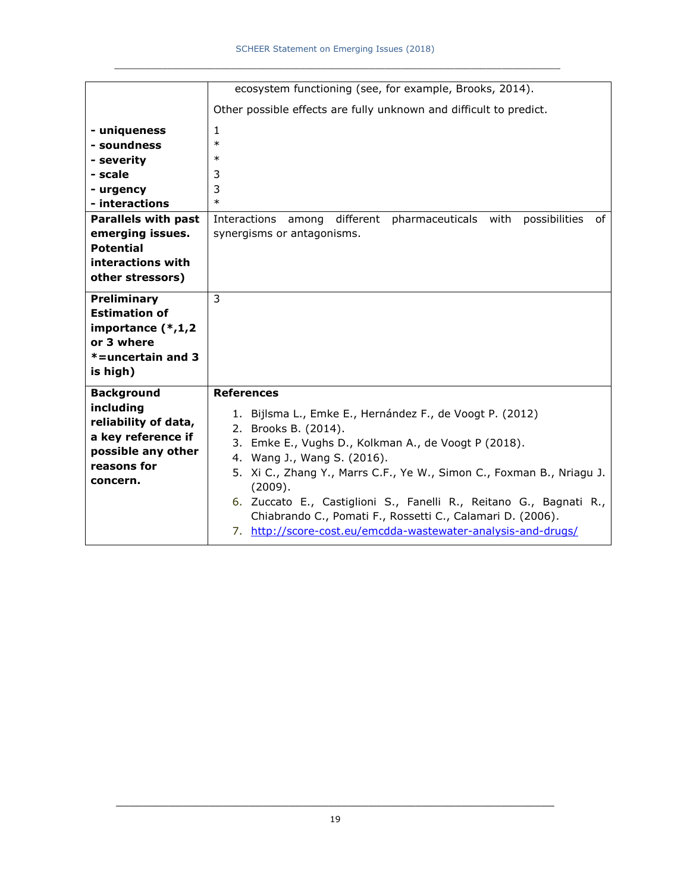|                                                                                                                                                                                                    | ecosystem functioning (see, for example, Brooks, 2014).                                                                                                                                                                                                                                                                                                                                                                                                                               |
|----------------------------------------------------------------------------------------------------------------------------------------------------------------------------------------------------|---------------------------------------------------------------------------------------------------------------------------------------------------------------------------------------------------------------------------------------------------------------------------------------------------------------------------------------------------------------------------------------------------------------------------------------------------------------------------------------|
|                                                                                                                                                                                                    | Other possible effects are fully unknown and difficult to predict.                                                                                                                                                                                                                                                                                                                                                                                                                    |
| - uniqueness<br>- soundness<br>- severity<br>- scale<br>- urgency<br>- interactions<br><b>Parallels with past</b><br>emerging issues.<br><b>Potential</b><br>interactions with<br>other stressors) | $\mathbf{1}$<br>$\ast$<br>$\ast$<br>3<br>3<br>$\ast$<br>different<br>pharmaceuticals with<br>possibilities<br>Interactions among<br>of<br>synergisms or antagonisms.                                                                                                                                                                                                                                                                                                                  |
| Preliminary<br><b>Estimation of</b><br>importance (*,1,2<br>or 3 where<br>*=uncertain and 3<br>is high)                                                                                            | 3                                                                                                                                                                                                                                                                                                                                                                                                                                                                                     |
| <b>Background</b><br>including<br>reliability of data,<br>a key reference if<br>possible any other<br>reasons for<br>concern.                                                                      | <b>References</b><br>1. Bijlsma L., Emke E., Hernández F., de Voogt P. (2012)<br>2. Brooks B. (2014).<br>3. Emke E., Vughs D., Kolkman A., de Voogt P (2018).<br>4. Wang J., Wang S. (2016).<br>5. Xi C., Zhang Y., Marrs C.F., Ye W., Simon C., Foxman B., Nriagu J.<br>(2009).<br>6. Zuccato E., Castiglioni S., Fanelli R., Reitano G., Bagnati R.,<br>Chiabrando C., Pomati F., Rossetti C., Calamari D. (2006).<br>7. http://score-cost.eu/emcdda-wastewater-analysis-and-drugs/ |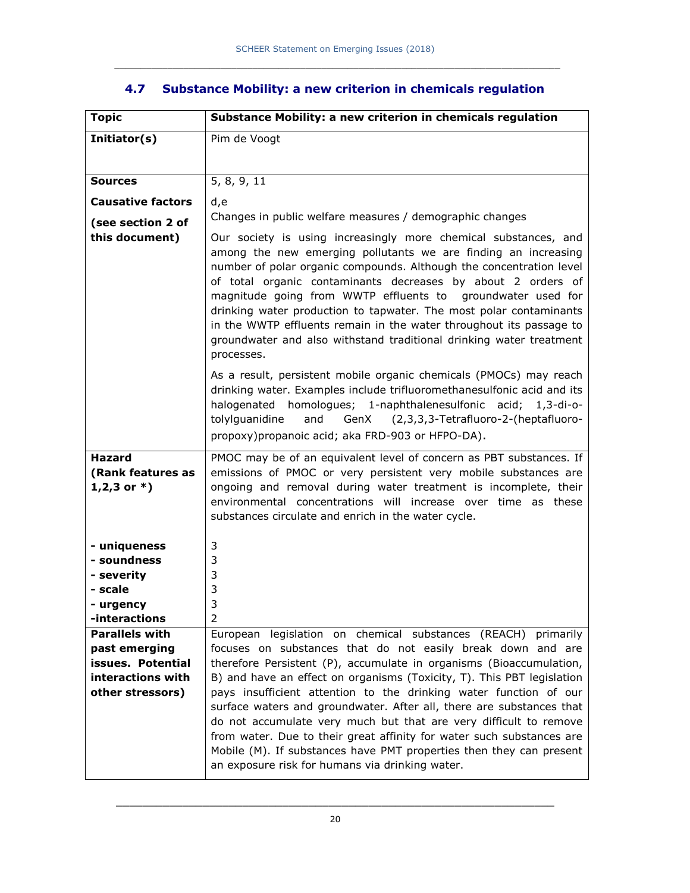| Pim de Voogt<br>Initiator(s)<br>5, 8, 9, 11<br><b>Sources</b><br><b>Causative factors</b><br>d,e<br>Changes in public welfare measures / demographic changes<br>(see section 2 of<br>this document)<br>Our society is using increasingly more chemical substances, and<br>among the new emerging pollutants we are finding an increasing<br>number of polar organic compounds. Although the concentration level<br>of total organic contaminants decreases by about 2 orders of<br>magnitude going from WWTP effluents to groundwater used for<br>drinking water production to tapwater. The most polar contaminants<br>in the WWTP effluents remain in the water throughout its passage to<br>groundwater and also withstand traditional drinking water treatment<br>processes.<br>As a result, persistent mobile organic chemicals (PMOCs) may reach<br>drinking water. Examples include trifluoromethanesulfonic acid and its<br>halogenated homologues; 1-naphthalenesulfonic acid; 1,3-di-o-<br>GenX<br>tolylguanidine<br>and<br>(2,3,3,3-Tetrafluoro-2-(heptafluoro-<br>propoxy) propanoic acid; aka FRD-903 or HFPO-DA).<br><b>Hazard</b><br>PMOC may be of an equivalent level of concern as PBT substances. If<br>emissions of PMOC or very persistent very mobile substances are<br>(Rank features as<br>$1,2,3$ or $*$ )<br>ongoing and removal during water treatment is incomplete, their<br>environmental concentrations will increase over time as these<br>substances circulate and enrich in the water cycle. |  |
|--------------------------------------------------------------------------------------------------------------------------------------------------------------------------------------------------------------------------------------------------------------------------------------------------------------------------------------------------------------------------------------------------------------------------------------------------------------------------------------------------------------------------------------------------------------------------------------------------------------------------------------------------------------------------------------------------------------------------------------------------------------------------------------------------------------------------------------------------------------------------------------------------------------------------------------------------------------------------------------------------------------------------------------------------------------------------------------------------------------------------------------------------------------------------------------------------------------------------------------------------------------------------------------------------------------------------------------------------------------------------------------------------------------------------------------------------------------------------------------------------------------------------------|--|
|                                                                                                                                                                                                                                                                                                                                                                                                                                                                                                                                                                                                                                                                                                                                                                                                                                                                                                                                                                                                                                                                                                                                                                                                                                                                                                                                                                                                                                                                                                                                |  |
|                                                                                                                                                                                                                                                                                                                                                                                                                                                                                                                                                                                                                                                                                                                                                                                                                                                                                                                                                                                                                                                                                                                                                                                                                                                                                                                                                                                                                                                                                                                                |  |
|                                                                                                                                                                                                                                                                                                                                                                                                                                                                                                                                                                                                                                                                                                                                                                                                                                                                                                                                                                                                                                                                                                                                                                                                                                                                                                                                                                                                                                                                                                                                |  |
|                                                                                                                                                                                                                                                                                                                                                                                                                                                                                                                                                                                                                                                                                                                                                                                                                                                                                                                                                                                                                                                                                                                                                                                                                                                                                                                                                                                                                                                                                                                                |  |
|                                                                                                                                                                                                                                                                                                                                                                                                                                                                                                                                                                                                                                                                                                                                                                                                                                                                                                                                                                                                                                                                                                                                                                                                                                                                                                                                                                                                                                                                                                                                |  |
|                                                                                                                                                                                                                                                                                                                                                                                                                                                                                                                                                                                                                                                                                                                                                                                                                                                                                                                                                                                                                                                                                                                                                                                                                                                                                                                                                                                                                                                                                                                                |  |
|                                                                                                                                                                                                                                                                                                                                                                                                                                                                                                                                                                                                                                                                                                                                                                                                                                                                                                                                                                                                                                                                                                                                                                                                                                                                                                                                                                                                                                                                                                                                |  |
|                                                                                                                                                                                                                                                                                                                                                                                                                                                                                                                                                                                                                                                                                                                                                                                                                                                                                                                                                                                                                                                                                                                                                                                                                                                                                                                                                                                                                                                                                                                                |  |
| 3<br>- uniqueness                                                                                                                                                                                                                                                                                                                                                                                                                                                                                                                                                                                                                                                                                                                                                                                                                                                                                                                                                                                                                                                                                                                                                                                                                                                                                                                                                                                                                                                                                                              |  |
| - soundness<br>3                                                                                                                                                                                                                                                                                                                                                                                                                                                                                                                                                                                                                                                                                                                                                                                                                                                                                                                                                                                                                                                                                                                                                                                                                                                                                                                                                                                                                                                                                                               |  |
| 3<br>- severity                                                                                                                                                                                                                                                                                                                                                                                                                                                                                                                                                                                                                                                                                                                                                                                                                                                                                                                                                                                                                                                                                                                                                                                                                                                                                                                                                                                                                                                                                                                |  |
| 3<br>- scale                                                                                                                                                                                                                                                                                                                                                                                                                                                                                                                                                                                                                                                                                                                                                                                                                                                                                                                                                                                                                                                                                                                                                                                                                                                                                                                                                                                                                                                                                                                   |  |
| 3<br>- urgency                                                                                                                                                                                                                                                                                                                                                                                                                                                                                                                                                                                                                                                                                                                                                                                                                                                                                                                                                                                                                                                                                                                                                                                                                                                                                                                                                                                                                                                                                                                 |  |
| -interactions<br>2                                                                                                                                                                                                                                                                                                                                                                                                                                                                                                                                                                                                                                                                                                                                                                                                                                                                                                                                                                                                                                                                                                                                                                                                                                                                                                                                                                                                                                                                                                             |  |
| <b>Parallels with</b><br>European legislation on chemical substances (REACH) primarily<br>past emerging<br>focuses on substances that do not easily break down and are                                                                                                                                                                                                                                                                                                                                                                                                                                                                                                                                                                                                                                                                                                                                                                                                                                                                                                                                                                                                                                                                                                                                                                                                                                                                                                                                                         |  |
| therefore Persistent (P), accumulate in organisms (Bioaccumulation,<br>issues. Potential                                                                                                                                                                                                                                                                                                                                                                                                                                                                                                                                                                                                                                                                                                                                                                                                                                                                                                                                                                                                                                                                                                                                                                                                                                                                                                                                                                                                                                       |  |
| interactions with<br>B) and have an effect on organisms (Toxicity, T). This PBT legislation                                                                                                                                                                                                                                                                                                                                                                                                                                                                                                                                                                                                                                                                                                                                                                                                                                                                                                                                                                                                                                                                                                                                                                                                                                                                                                                                                                                                                                    |  |
| other stressors)<br>pays insufficient attention to the drinking water function of our                                                                                                                                                                                                                                                                                                                                                                                                                                                                                                                                                                                                                                                                                                                                                                                                                                                                                                                                                                                                                                                                                                                                                                                                                                                                                                                                                                                                                                          |  |
| surface waters and groundwater. After all, there are substances that<br>do not accumulate very much but that are very difficult to remove<br>from water. Due to their great affinity for water such substances are<br>Mobile (M). If substances have PMT properties then they can present<br>an exposure risk for humans via drinking water.                                                                                                                                                                                                                                                                                                                                                                                                                                                                                                                                                                                                                                                                                                                                                                                                                                                                                                                                                                                                                                                                                                                                                                                   |  |

## **4.7 Substance Mobility: a new criterion in chemicals regulation**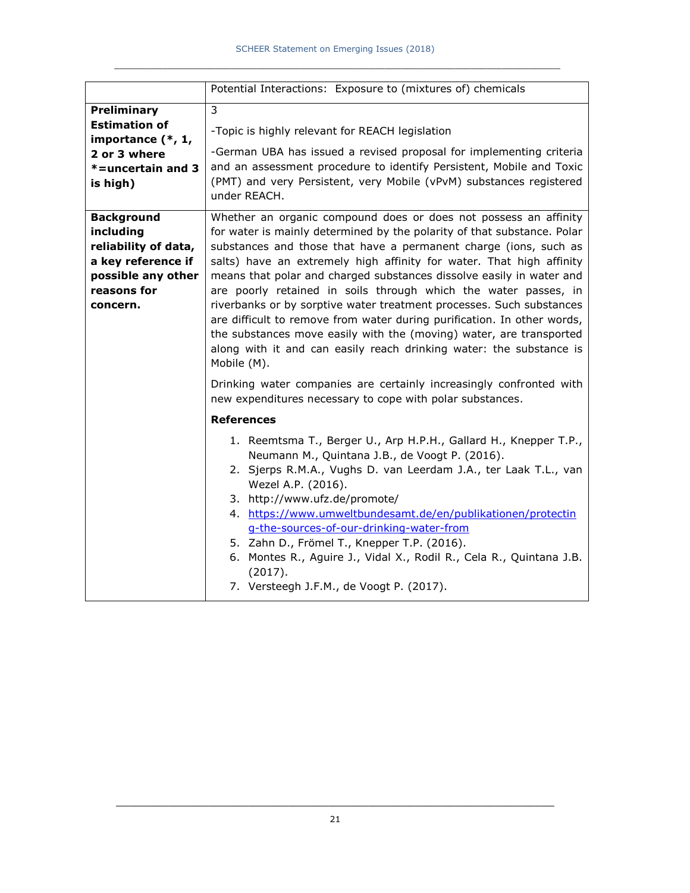|                                                                                                                               | Potential Interactions: Exposure to (mixtures of) chemicals                                                                                                                                                                                                                                                                                                                                                                                                                                                                                                                                                                                                                                                                                        |
|-------------------------------------------------------------------------------------------------------------------------------|----------------------------------------------------------------------------------------------------------------------------------------------------------------------------------------------------------------------------------------------------------------------------------------------------------------------------------------------------------------------------------------------------------------------------------------------------------------------------------------------------------------------------------------------------------------------------------------------------------------------------------------------------------------------------------------------------------------------------------------------------|
| <b>Preliminary</b><br><b>Estimation of</b>                                                                                    | 3<br>-Topic is highly relevant for REACH legislation                                                                                                                                                                                                                                                                                                                                                                                                                                                                                                                                                                                                                                                                                               |
| importance (*, 1,<br>2 or 3 where<br>*=uncertain and 3<br>is high)                                                            | -German UBA has issued a revised proposal for implementing criteria<br>and an assessment procedure to identify Persistent, Mobile and Toxic<br>(PMT) and very Persistent, very Mobile (vPvM) substances registered<br>under REACH.                                                                                                                                                                                                                                                                                                                                                                                                                                                                                                                 |
| <b>Background</b><br>including<br>reliability of data,<br>a key reference if<br>possible any other<br>reasons for<br>concern. | Whether an organic compound does or does not possess an affinity<br>for water is mainly determined by the polarity of that substance. Polar<br>substances and those that have a permanent charge (ions, such as<br>salts) have an extremely high affinity for water. That high affinity<br>means that polar and charged substances dissolve easily in water and<br>are poorly retained in soils through which the water passes, in<br>riverbanks or by sorptive water treatment processes. Such substances<br>are difficult to remove from water during purification. In other words,<br>the substances move easily with the (moving) water, are transported<br>along with it and can easily reach drinking water: the substance is<br>Mobile (M). |
|                                                                                                                               | Drinking water companies are certainly increasingly confronted with<br>new expenditures necessary to cope with polar substances.                                                                                                                                                                                                                                                                                                                                                                                                                                                                                                                                                                                                                   |
|                                                                                                                               | <b>References</b>                                                                                                                                                                                                                                                                                                                                                                                                                                                                                                                                                                                                                                                                                                                                  |
|                                                                                                                               | 1. Reemtsma T., Berger U., Arp H.P.H., Gallard H., Knepper T.P.,<br>Neumann M., Quintana J.B., de Voogt P. (2016).<br>2. Sjerps R.M.A., Vughs D. van Leerdam J.A., ter Laak T.L., van<br>Wezel A.P. (2016).<br>3. http://www.ufz.de/promote/<br>4. https://www.umweltbundesamt.de/en/publikationen/protectin<br>g-the-sources-of-our-drinking-water-from<br>5. Zahn D., Frömel T., Knepper T.P. (2016).<br>6. Montes R., Aguire J., Vidal X., Rodil R., Cela R., Quintana J.B.<br>(2017).<br>7. Versteegh J.F.M., de Voogt P. (2017).                                                                                                                                                                                                              |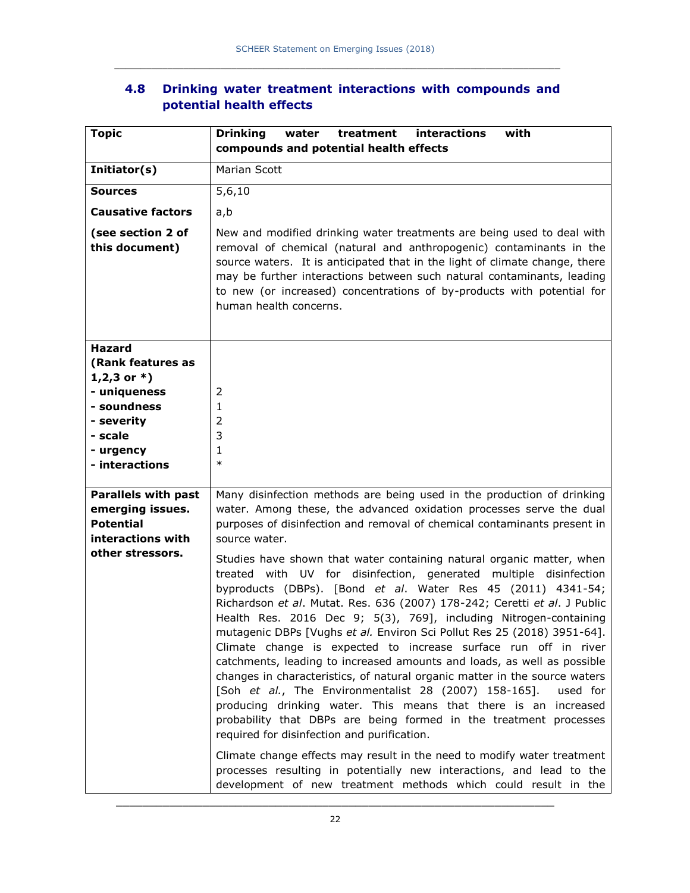### **4.8 Drinking water treatment interactions with compounds and potential health effects**

| <b>Topic</b>                                                                                                                                | <b>Drinking</b><br>water<br>treatment<br>interactions<br>with<br>compounds and potential health effects                                                                                                                                                                                                                                                                                                                                                                                                                                                                                                                                                                                                                                                                                                                                                                                                                                                                                                                                                                                                                                                                                                                                                                                                                                                                                               |
|---------------------------------------------------------------------------------------------------------------------------------------------|-------------------------------------------------------------------------------------------------------------------------------------------------------------------------------------------------------------------------------------------------------------------------------------------------------------------------------------------------------------------------------------------------------------------------------------------------------------------------------------------------------------------------------------------------------------------------------------------------------------------------------------------------------------------------------------------------------------------------------------------------------------------------------------------------------------------------------------------------------------------------------------------------------------------------------------------------------------------------------------------------------------------------------------------------------------------------------------------------------------------------------------------------------------------------------------------------------------------------------------------------------------------------------------------------------------------------------------------------------------------------------------------------------|
| Initiator(s)                                                                                                                                | Marian Scott                                                                                                                                                                                                                                                                                                                                                                                                                                                                                                                                                                                                                                                                                                                                                                                                                                                                                                                                                                                                                                                                                                                                                                                                                                                                                                                                                                                          |
| <b>Sources</b>                                                                                                                              | 5,6,10                                                                                                                                                                                                                                                                                                                                                                                                                                                                                                                                                                                                                                                                                                                                                                                                                                                                                                                                                                                                                                                                                                                                                                                                                                                                                                                                                                                                |
| <b>Causative factors</b>                                                                                                                    | a,b                                                                                                                                                                                                                                                                                                                                                                                                                                                                                                                                                                                                                                                                                                                                                                                                                                                                                                                                                                                                                                                                                                                                                                                                                                                                                                                                                                                                   |
| (see section 2 of<br>this document)                                                                                                         | New and modified drinking water treatments are being used to deal with<br>removal of chemical (natural and anthropogenic) contaminants in the<br>source waters. It is anticipated that in the light of climate change, there<br>may be further interactions between such natural contaminants, leading<br>to new (or increased) concentrations of by-products with potential for<br>human health concerns.                                                                                                                                                                                                                                                                                                                                                                                                                                                                                                                                                                                                                                                                                                                                                                                                                                                                                                                                                                                            |
| <b>Hazard</b><br>(Rank features as<br>1,2,3 or $*$ )<br>- uniqueness<br>- soundness<br>- severity<br>- scale<br>- urgency<br>- interactions | 2<br>1<br>2<br>3<br>1<br>$\ast$                                                                                                                                                                                                                                                                                                                                                                                                                                                                                                                                                                                                                                                                                                                                                                                                                                                                                                                                                                                                                                                                                                                                                                                                                                                                                                                                                                       |
| <b>Parallels with past</b><br>emerging issues.<br><b>Potential</b><br>interactions with<br>other stressors.                                 | Many disinfection methods are being used in the production of drinking<br>water. Among these, the advanced oxidation processes serve the dual<br>purposes of disinfection and removal of chemical contaminants present in<br>source water.<br>Studies have shown that water containing natural organic matter, when<br>treated with UV for disinfection, generated<br>multiple disinfection<br>byproducts (DBPs). [Bond et al. Water Res 45 (2011) 4341-54;<br>Richardson et al. Mutat. Res. 636 (2007) 178-242; Ceretti et al. J Public<br>Health Res. 2016 Dec 9; 5(3), 769], including Nitrogen-containing<br>mutagenic DBPs [Vughs et al. Environ Sci Pollut Res 25 (2018) 3951-64].<br>Climate change is expected to increase surface run off in river<br>catchments, leading to increased amounts and loads, as well as possible<br>changes in characteristics, of natural organic matter in the source waters<br>[Soh et al., The Environmentalist 28 (2007) 158-165].<br>used for<br>producing drinking water. This means that there is an increased<br>probability that DBPs are being formed in the treatment processes<br>required for disinfection and purification.<br>Climate change effects may result in the need to modify water treatment<br>processes resulting in potentially new interactions, and lead to the<br>development of new treatment methods which could result in the |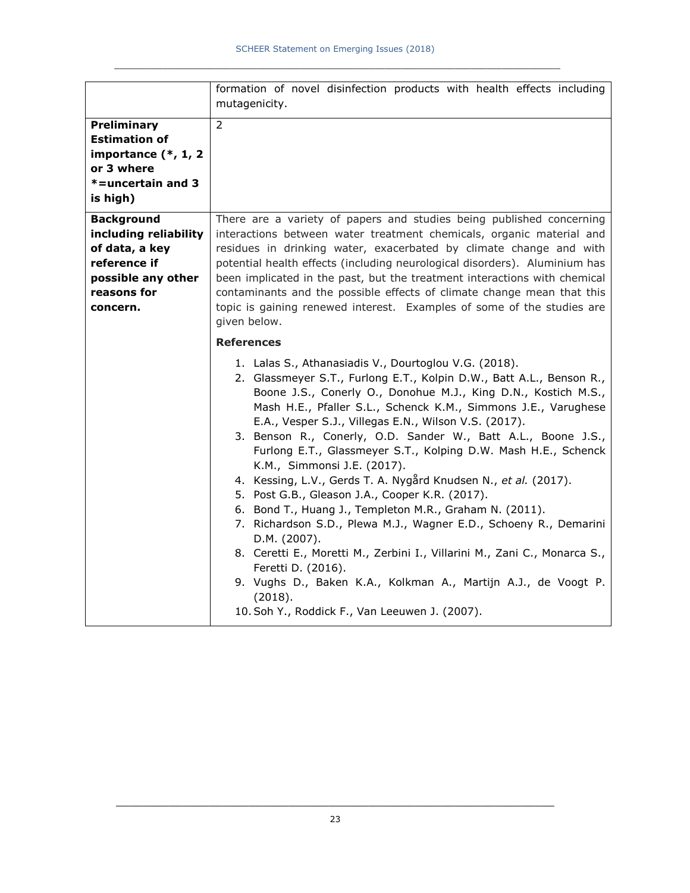|                                                                                                                               | formation of novel disinfection products with health effects including<br>mutagenicity.                                                                                                                                                                                                                                                                                                                                                                                                                                                                                                                                                                                                                                                                                                                                                                                                                                                                                                              |
|-------------------------------------------------------------------------------------------------------------------------------|------------------------------------------------------------------------------------------------------------------------------------------------------------------------------------------------------------------------------------------------------------------------------------------------------------------------------------------------------------------------------------------------------------------------------------------------------------------------------------------------------------------------------------------------------------------------------------------------------------------------------------------------------------------------------------------------------------------------------------------------------------------------------------------------------------------------------------------------------------------------------------------------------------------------------------------------------------------------------------------------------|
| Preliminary<br><b>Estimation of</b><br>importance $(*, 1, 2)$<br>or 3 where<br>*=uncertain and 3<br>is high)                  | $\overline{2}$                                                                                                                                                                                                                                                                                                                                                                                                                                                                                                                                                                                                                                                                                                                                                                                                                                                                                                                                                                                       |
| <b>Background</b><br>including reliability<br>of data, a key<br>reference if<br>possible any other<br>reasons for<br>concern. | There are a variety of papers and studies being published concerning<br>interactions between water treatment chemicals, organic material and<br>residues in drinking water, exacerbated by climate change and with<br>potential health effects (including neurological disorders). Aluminium has<br>been implicated in the past, but the treatment interactions with chemical<br>contaminants and the possible effects of climate change mean that this<br>topic is gaining renewed interest. Examples of some of the studies are<br>given below.                                                                                                                                                                                                                                                                                                                                                                                                                                                    |
|                                                                                                                               | <b>References</b>                                                                                                                                                                                                                                                                                                                                                                                                                                                                                                                                                                                                                                                                                                                                                                                                                                                                                                                                                                                    |
|                                                                                                                               | 1. Lalas S., Athanasiadis V., Dourtoglou V.G. (2018).<br>2. Glassmeyer S.T., Furlong E.T., Kolpin D.W., Batt A.L., Benson R.,<br>Boone J.S., Conerly O., Donohue M.J., King D.N., Kostich M.S.,<br>Mash H.E., Pfaller S.L., Schenck K.M., Simmons J.E., Varughese<br>E.A., Vesper S.J., Villegas E.N., Wilson V.S. (2017).<br>3. Benson R., Conerly, O.D. Sander W., Batt A.L., Boone J.S.,<br>Furlong E.T., Glassmeyer S.T., Kolping D.W. Mash H.E., Schenck<br>K.M., Simmonsi J.E. (2017).<br>4. Kessing, L.V., Gerds T. A. Nygård Knudsen N., et al. (2017).<br>5. Post G.B., Gleason J.A., Cooper K.R. (2017).<br>6. Bond T., Huang J., Templeton M.R., Graham N. (2011).<br>7. Richardson S.D., Plewa M.J., Wagner E.D., Schoeny R., Demarini<br>D.M. (2007).<br>8. Ceretti E., Moretti M., Zerbini I., Villarini M., Zani C., Monarca S.,<br>Feretti D. (2016).<br>9. Vughs D., Baken K.A., Kolkman A., Martijn A.J., de Voogt P.<br>(2018).<br>10. Soh Y., Roddick F., Van Leeuwen J. (2007). |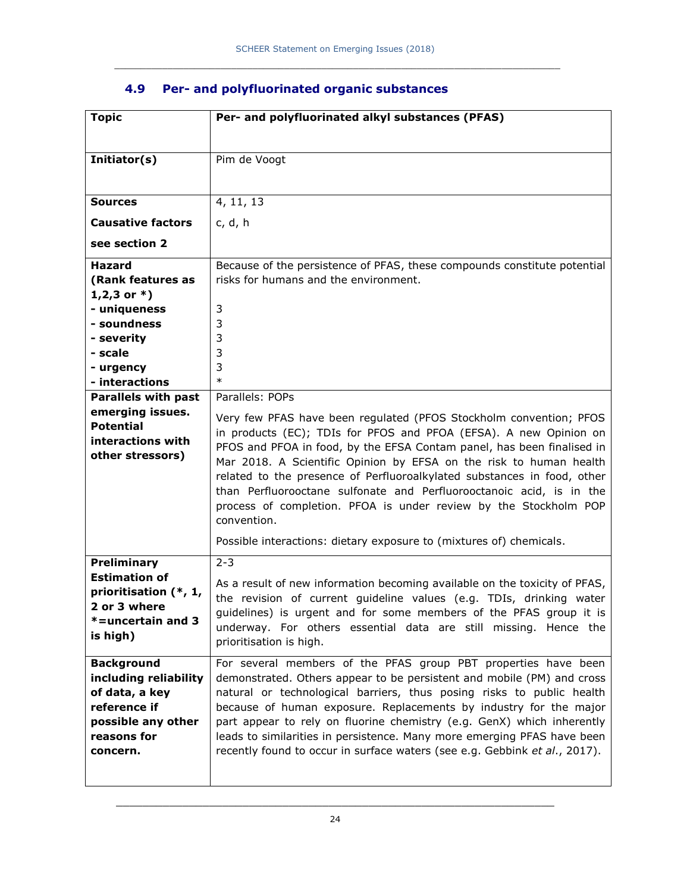| <b>Topic</b>                        | Per- and polyfluorinated alkyl substances (PFAS)                                                                                                |
|-------------------------------------|-------------------------------------------------------------------------------------------------------------------------------------------------|
|                                     |                                                                                                                                                 |
| Initiator(s)                        | Pim de Voogt                                                                                                                                    |
|                                     |                                                                                                                                                 |
| <b>Sources</b>                      | 4, 11, 13                                                                                                                                       |
| <b>Causative factors</b>            | c, d, h                                                                                                                                         |
| see section 2                       |                                                                                                                                                 |
| <b>Hazard</b>                       | Because of the persistence of PFAS, these compounds constitute potential                                                                        |
| (Rank features as                   | risks for humans and the environment.                                                                                                           |
| $1,2,3$ or $*$ )                    |                                                                                                                                                 |
| - uniqueness                        | 3                                                                                                                                               |
| - soundness                         | 3                                                                                                                                               |
| - severity                          | 3                                                                                                                                               |
| - scale                             | 3                                                                                                                                               |
| - urgency<br>- interactions         | 3<br>$\ast$                                                                                                                                     |
| <b>Parallels with past</b>          | Parallels: POPs                                                                                                                                 |
| emerging issues.                    |                                                                                                                                                 |
| <b>Potential</b>                    | Very few PFAS have been regulated (PFOS Stockholm convention; PFOS                                                                              |
| interactions with                   | in products (EC); TDIs for PFOS and PFOA (EFSA). A new Opinion on                                                                               |
| other stressors)                    | PFOS and PFOA in food, by the EFSA Contam panel, has been finalised in                                                                          |
|                                     | Mar 2018. A Scientific Opinion by EFSA on the risk to human health                                                                              |
|                                     | related to the presence of Perfluoroalkylated substances in food, other<br>than Perfluorooctane sulfonate and Perfluorooctanoic acid, is in the |
|                                     | process of completion. PFOA is under review by the Stockholm POP                                                                                |
|                                     | convention.                                                                                                                                     |
|                                     | Possible interactions: dietary exposure to (mixtures of) chemicals.                                                                             |
|                                     |                                                                                                                                                 |
| Preliminary<br><b>Estimation of</b> | $2 - 3$                                                                                                                                         |
| prioritisation (*, 1,               | As a result of new information becoming available on the toxicity of PFAS,                                                                      |
| 2 or 3 where                        | the revision of current guideline values (e.g. TDIs, drinking water                                                                             |
| *=uncertain and 3                   | guidelines) is urgent and for some members of the PFAS group it is                                                                              |
| is high)                            | underway. For others essential data are still missing. Hence the                                                                                |
|                                     | prioritisation is high.                                                                                                                         |
| <b>Background</b>                   | For several members of the PFAS group PBT properties have been                                                                                  |
| including reliability               | demonstrated. Others appear to be persistent and mobile (PM) and cross                                                                          |
| of data, a key                      | natural or technological barriers, thus posing risks to public health                                                                           |
| reference if                        | because of human exposure. Replacements by industry for the major                                                                               |
| possible any other                  | part appear to rely on fluorine chemistry (e.g. GenX) which inherently                                                                          |
| reasons for                         | leads to similarities in persistence. Many more emerging PFAS have been                                                                         |
| concern.                            | recently found to occur in surface waters (see e.g. Gebbink et al., 2017).                                                                      |
|                                     |                                                                                                                                                 |

## **4.9 Per- and polyfluorinated organic substances**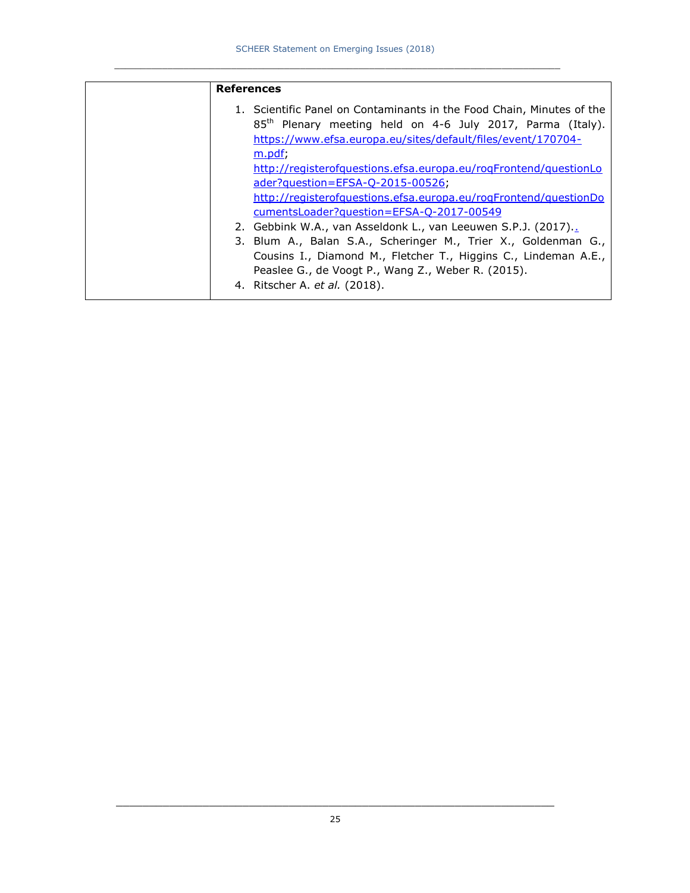| <b>References</b>                                                                                                                                                                                                                                                                                                                                                                                     |
|-------------------------------------------------------------------------------------------------------------------------------------------------------------------------------------------------------------------------------------------------------------------------------------------------------------------------------------------------------------------------------------------------------|
| 1. Scientific Panel on Contaminants in the Food Chain, Minutes of the<br>85 <sup>th</sup> Plenary meeting held on 4-6 July 2017, Parma (Italy).<br>https://www.efsa.europa.eu/sites/default/files/event/170704-<br>m.pdf;<br>http://registerofquestions.efsa.europa.eu/rogFrontend/questionLo<br>ader?question=EFSA-Q-2015-00526;<br>http://registerofquestions.efsa.europa.eu/rogFrontend/questionDo |
| cumentsLoader?question=EFSA-Q-2017-00549                                                                                                                                                                                                                                                                                                                                                              |
| 2. Gebbink W.A., van Asseldonk L., van Leeuwen S.P.J. (2017).                                                                                                                                                                                                                                                                                                                                         |
| 3. Blum A., Balan S.A., Scheringer M., Trier X., Goldenman G.,<br>Cousins I., Diamond M., Fletcher T., Higgins C., Lindeman A.E.,<br>Peaslee G., de Voogt P., Wang Z., Weber R. (2015).<br>4. Ritscher A. <i>et al.</i> (2018).                                                                                                                                                                       |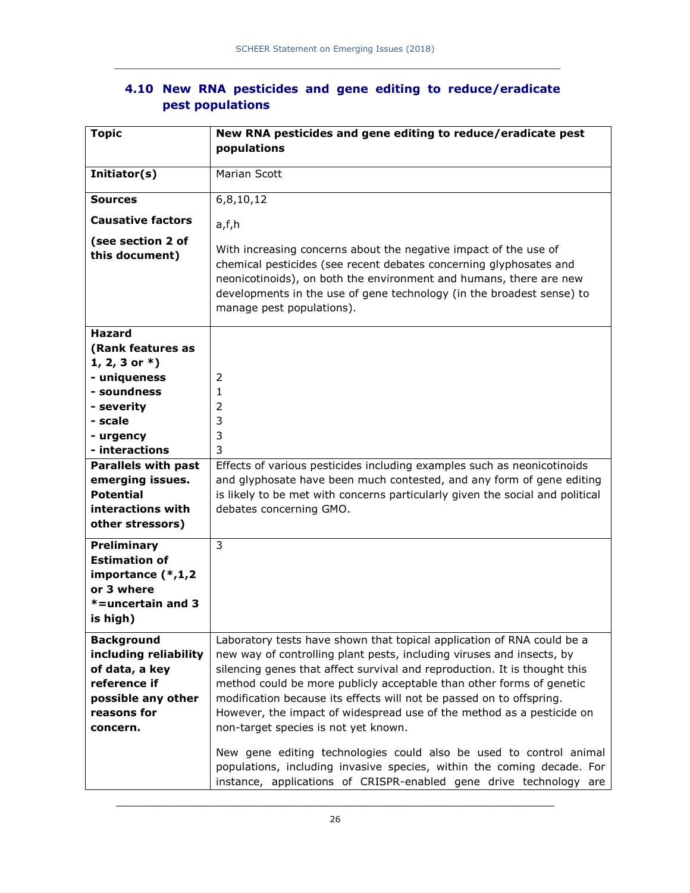| <b>Topic</b>                                                                                                                  | New RNA pesticides and gene editing to reduce/eradicate pest                                                                                                                                                                                                                                                                                                                                                                                                                                  |
|-------------------------------------------------------------------------------------------------------------------------------|-----------------------------------------------------------------------------------------------------------------------------------------------------------------------------------------------------------------------------------------------------------------------------------------------------------------------------------------------------------------------------------------------------------------------------------------------------------------------------------------------|
|                                                                                                                               | populations                                                                                                                                                                                                                                                                                                                                                                                                                                                                                   |
| Initiator(s)                                                                                                                  | Marian Scott                                                                                                                                                                                                                                                                                                                                                                                                                                                                                  |
| <b>Sources</b>                                                                                                                | 6,8,10,12                                                                                                                                                                                                                                                                                                                                                                                                                                                                                     |
| <b>Causative factors</b>                                                                                                      | a,f,h                                                                                                                                                                                                                                                                                                                                                                                                                                                                                         |
| (see section 2 of<br>this document)                                                                                           | With increasing concerns about the negative impact of the use of<br>chemical pesticides (see recent debates concerning glyphosates and<br>neonicotinoids), on both the environment and humans, there are new<br>developments in the use of gene technology (in the broadest sense) to<br>manage pest populations).                                                                                                                                                                            |
| <b>Hazard</b>                                                                                                                 |                                                                                                                                                                                                                                                                                                                                                                                                                                                                                               |
| (Rank features as                                                                                                             |                                                                                                                                                                                                                                                                                                                                                                                                                                                                                               |
| 1, 2, 3 or $*$ )<br>- uniqueness                                                                                              | 2                                                                                                                                                                                                                                                                                                                                                                                                                                                                                             |
| - soundness                                                                                                                   | 1                                                                                                                                                                                                                                                                                                                                                                                                                                                                                             |
| - severity                                                                                                                    | 2                                                                                                                                                                                                                                                                                                                                                                                                                                                                                             |
| - scale                                                                                                                       | 3                                                                                                                                                                                                                                                                                                                                                                                                                                                                                             |
| - urgency                                                                                                                     | 3                                                                                                                                                                                                                                                                                                                                                                                                                                                                                             |
| - interactions                                                                                                                | 3                                                                                                                                                                                                                                                                                                                                                                                                                                                                                             |
| <b>Parallels with past</b>                                                                                                    | Effects of various pesticides including examples such as neonicotinoids                                                                                                                                                                                                                                                                                                                                                                                                                       |
| emerging issues.                                                                                                              | and glyphosate have been much contested, and any form of gene editing                                                                                                                                                                                                                                                                                                                                                                                                                         |
| <b>Potential</b>                                                                                                              | is likely to be met with concerns particularly given the social and political                                                                                                                                                                                                                                                                                                                                                                                                                 |
| interactions with                                                                                                             | debates concerning GMO.                                                                                                                                                                                                                                                                                                                                                                                                                                                                       |
| other stressors)                                                                                                              |                                                                                                                                                                                                                                                                                                                                                                                                                                                                                               |
| Preliminary<br><b>Estimation of</b><br>importance $(*,1,2)$<br>or 3 where<br>$* =$ uncertain and 3<br>is high)                | 3                                                                                                                                                                                                                                                                                                                                                                                                                                                                                             |
|                                                                                                                               |                                                                                                                                                                                                                                                                                                                                                                                                                                                                                               |
| <b>Background</b><br>including reliability<br>of data, a key<br>reference if<br>possible any other<br>reasons for<br>concern. | Laboratory tests have shown that topical application of RNA could be a<br>new way of controlling plant pests, including viruses and insects, by<br>silencing genes that affect survival and reproduction. It is thought this<br>method could be more publicly acceptable than other forms of genetic<br>modification because its effects will not be passed on to offspring.<br>However, the impact of widespread use of the method as a pesticide on<br>non-target species is not yet known. |
|                                                                                                                               | New gene editing technologies could also be used to control animal<br>populations, including invasive species, within the coming decade. For<br>instance, applications of CRISPR-enabled gene drive technology are                                                                                                                                                                                                                                                                            |

### **4.10 New RNA pesticides and gene editing to reduce/eradicate pest populations**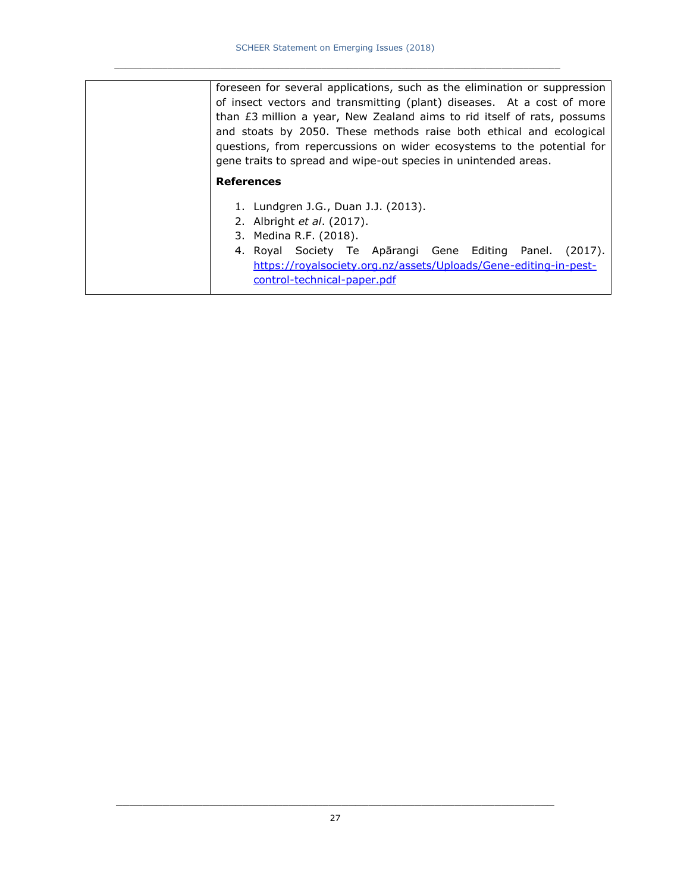| foreseen for several applications, such as the elimination or suppression<br>of insect vectors and transmitting (plant) diseases. At a cost of more<br>than $E3$ million a year, New Zealand aims to rid itself of rats, possums<br>and stoats by 2050. These methods raise both ethical and ecological<br>questions, from repercussions on wider ecosystems to the potential for |
|-----------------------------------------------------------------------------------------------------------------------------------------------------------------------------------------------------------------------------------------------------------------------------------------------------------------------------------------------------------------------------------|
| gene traits to spread and wipe-out species in unintended areas.                                                                                                                                                                                                                                                                                                                   |
| <b>References</b>                                                                                                                                                                                                                                                                                                                                                                 |
| 1. Lundgren J.G., Duan J.J. (2013).                                                                                                                                                                                                                                                                                                                                               |
| 2. Albright <i>et al.</i> (2017).                                                                                                                                                                                                                                                                                                                                                 |
| 3. Medina R.F. (2018).                                                                                                                                                                                                                                                                                                                                                            |
| 4. Royal Society Te Apārangi Gene Editing Panel.<br>(2017).<br>https://royalsociety.org.nz/assets/Uploads/Gene-editing-in-pest-<br>control-technical-paper.pdf                                                                                                                                                                                                                    |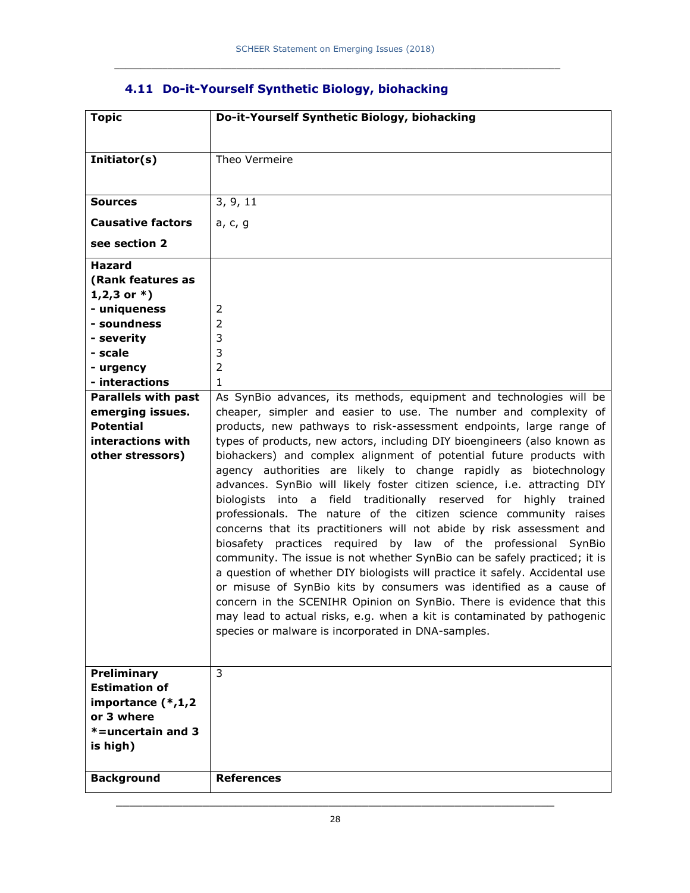| <b>Topic</b>                                                                                                   | Do-it-Yourself Synthetic Biology, biohacking                                                                                                                                                                                                                                                                                                                                                                                                                                                                                                                                                                                                                                                                                                                                                                                                                                                                                                                                                                                      |
|----------------------------------------------------------------------------------------------------------------|-----------------------------------------------------------------------------------------------------------------------------------------------------------------------------------------------------------------------------------------------------------------------------------------------------------------------------------------------------------------------------------------------------------------------------------------------------------------------------------------------------------------------------------------------------------------------------------------------------------------------------------------------------------------------------------------------------------------------------------------------------------------------------------------------------------------------------------------------------------------------------------------------------------------------------------------------------------------------------------------------------------------------------------|
| Initiator(s)                                                                                                   | Theo Vermeire                                                                                                                                                                                                                                                                                                                                                                                                                                                                                                                                                                                                                                                                                                                                                                                                                                                                                                                                                                                                                     |
| <b>Sources</b>                                                                                                 | 3, 9, 11                                                                                                                                                                                                                                                                                                                                                                                                                                                                                                                                                                                                                                                                                                                                                                                                                                                                                                                                                                                                                          |
| <b>Causative factors</b>                                                                                       | a, c, g                                                                                                                                                                                                                                                                                                                                                                                                                                                                                                                                                                                                                                                                                                                                                                                                                                                                                                                                                                                                                           |
| see section 2                                                                                                  |                                                                                                                                                                                                                                                                                                                                                                                                                                                                                                                                                                                                                                                                                                                                                                                                                                                                                                                                                                                                                                   |
| <b>Hazard</b>                                                                                                  |                                                                                                                                                                                                                                                                                                                                                                                                                                                                                                                                                                                                                                                                                                                                                                                                                                                                                                                                                                                                                                   |
| (Rank features as                                                                                              |                                                                                                                                                                                                                                                                                                                                                                                                                                                                                                                                                                                                                                                                                                                                                                                                                                                                                                                                                                                                                                   |
| $1,2,3$ or $*$ )<br>- uniqueness                                                                               | 2                                                                                                                                                                                                                                                                                                                                                                                                                                                                                                                                                                                                                                                                                                                                                                                                                                                                                                                                                                                                                                 |
| - soundness                                                                                                    | 2                                                                                                                                                                                                                                                                                                                                                                                                                                                                                                                                                                                                                                                                                                                                                                                                                                                                                                                                                                                                                                 |
| - severity                                                                                                     | 3                                                                                                                                                                                                                                                                                                                                                                                                                                                                                                                                                                                                                                                                                                                                                                                                                                                                                                                                                                                                                                 |
| - scale                                                                                                        | 3                                                                                                                                                                                                                                                                                                                                                                                                                                                                                                                                                                                                                                                                                                                                                                                                                                                                                                                                                                                                                                 |
| - urgency                                                                                                      | $\overline{2}$                                                                                                                                                                                                                                                                                                                                                                                                                                                                                                                                                                                                                                                                                                                                                                                                                                                                                                                                                                                                                    |
| - interactions                                                                                                 | $\mathbf{1}$                                                                                                                                                                                                                                                                                                                                                                                                                                                                                                                                                                                                                                                                                                                                                                                                                                                                                                                                                                                                                      |
| <b>Parallels with past</b>                                                                                     | As SynBio advances, its methods, equipment and technologies will be                                                                                                                                                                                                                                                                                                                                                                                                                                                                                                                                                                                                                                                                                                                                                                                                                                                                                                                                                               |
| emerging issues.                                                                                               | cheaper, simpler and easier to use. The number and complexity of                                                                                                                                                                                                                                                                                                                                                                                                                                                                                                                                                                                                                                                                                                                                                                                                                                                                                                                                                                  |
| <b>Potential</b>                                                                                               | products, new pathways to risk-assessment endpoints, large range of                                                                                                                                                                                                                                                                                                                                                                                                                                                                                                                                                                                                                                                                                                                                                                                                                                                                                                                                                               |
| interactions with<br>other stressors)                                                                          | types of products, new actors, including DIY bioengineers (also known as<br>biohackers) and complex alignment of potential future products with<br>agency authorities are likely to change rapidly as biotechnology<br>advances. SynBio will likely foster citizen science, i.e. attracting DIY<br>biologists into a field traditionally reserved for highly trained<br>professionals. The nature of the citizen science community raises<br>concerns that its practitioners will not abide by risk assessment and<br>biosafety practices required by law of the professional SynBio<br>community. The issue is not whether SynBio can be safely practiced; it is<br>a question of whether DIY biologists will practice it safely. Accidental use<br>or misuse of SynBio kits by consumers was identified as a cause of<br>concern in the SCENIHR Opinion on SynBio. There is evidence that this<br>may lead to actual risks, e.g. when a kit is contaminated by pathogenic<br>species or malware is incorporated in DNA-samples. |
| Preliminary<br><b>Estimation of</b><br>importance $(*,1,2)$<br>or 3 where<br>$* =$ uncertain and 3<br>is high) | 3                                                                                                                                                                                                                                                                                                                                                                                                                                                                                                                                                                                                                                                                                                                                                                                                                                                                                                                                                                                                                                 |

## **4.11 Do-it-Yourself Synthetic Biology, biohacking**

**Background References**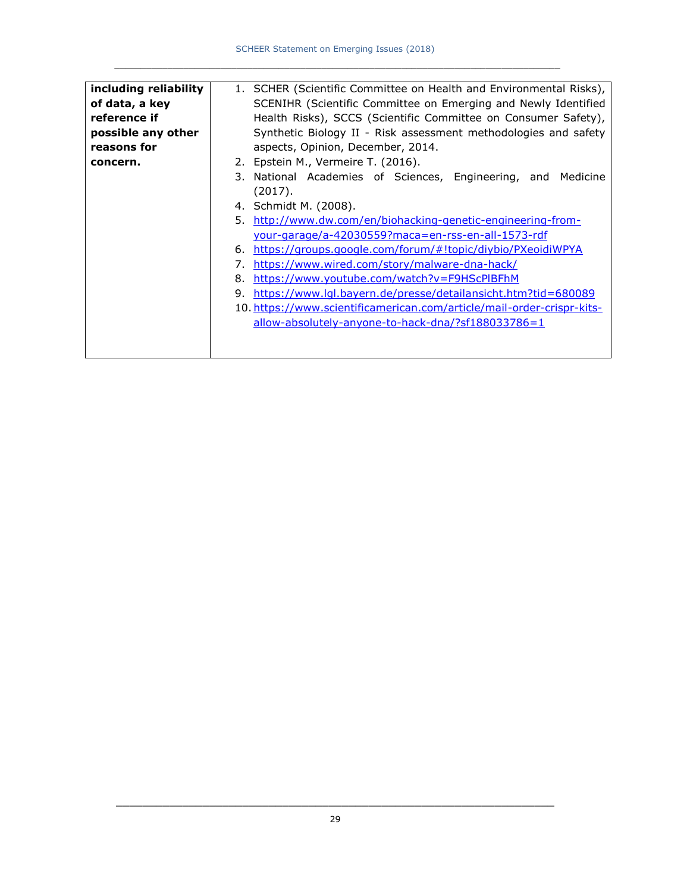| including reliability | 1. SCHER (Scientific Committee on Health and Environmental Risks),     |
|-----------------------|------------------------------------------------------------------------|
| of data, a key        | SCENIHR (Scientific Committee on Emerging and Newly Identified         |
| reference if          | Health Risks), SCCS (Scientific Committee on Consumer Safety),         |
| possible any other    | Synthetic Biology II - Risk assessment methodologies and safety        |
| reasons for           | aspects, Opinion, December, 2014.                                      |
| concern.              | 2. Epstein M., Vermeire T. (2016).                                     |
|                       | 3. National Academies of Sciences, Engineering, and Medicine           |
|                       | (2017).                                                                |
|                       | 4. Schmidt M. (2008).                                                  |
|                       | http://www.dw.com/en/biohacking-genetic-engineering-from-<br>5.        |
|                       | your-garage/a-42030559?maca=en-rss-en-all-1573-rdf                     |
|                       | https://groups.google.com/forum/#!topic/diybio/PXeoidiWPYA<br>6.       |
|                       | https://www.wired.com/story/malware-dna-hack/<br>7.                    |
|                       | https://www.youtube.com/watch?v=F9HScPIBFhM<br>8.                      |
|                       | https://www.lql.bayern.de/presse/detailansicht.htm?tid=680089<br>9.    |
|                       | 10. https://www.scientificamerican.com/article/mail-order-crispr-kits- |
|                       | allow-absolutely-anyone-to-hack-dna/?sf188033786=1                     |
|                       |                                                                        |
|                       |                                                                        |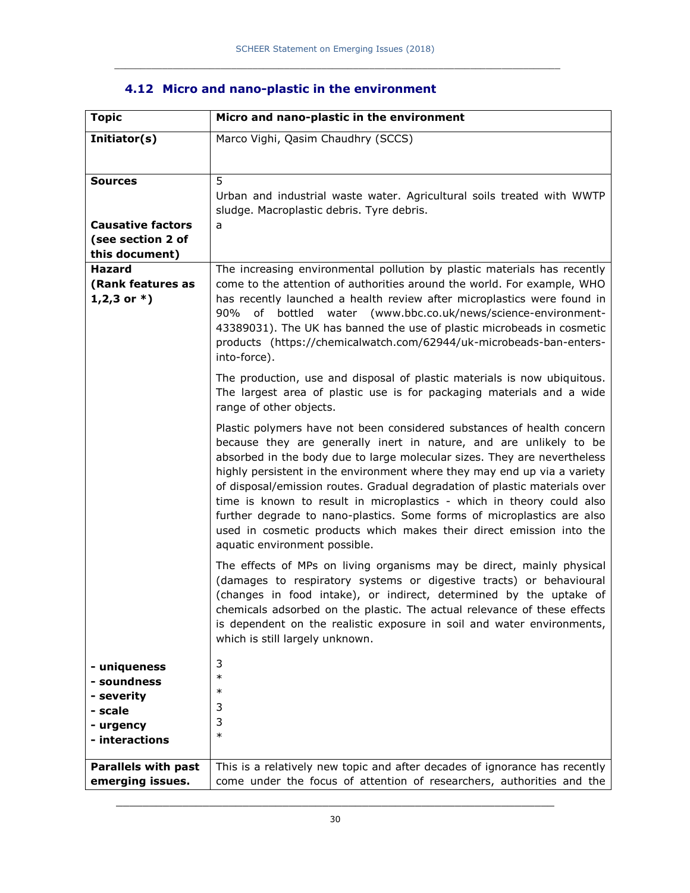| <b>Topic</b>                                                                        | Micro and nano-plastic in the environment                                                                                                                                                                                                                                                                                                                                                                                                                                                                                                                                                                                                      |
|-------------------------------------------------------------------------------------|------------------------------------------------------------------------------------------------------------------------------------------------------------------------------------------------------------------------------------------------------------------------------------------------------------------------------------------------------------------------------------------------------------------------------------------------------------------------------------------------------------------------------------------------------------------------------------------------------------------------------------------------|
| Initiator(s)                                                                        | Marco Vighi, Qasim Chaudhry (SCCS)                                                                                                                                                                                                                                                                                                                                                                                                                                                                                                                                                                                                             |
|                                                                                     |                                                                                                                                                                                                                                                                                                                                                                                                                                                                                                                                                                                                                                                |
| <b>Sources</b><br><b>Causative factors</b><br>(see section 2 of                     | 5<br>Urban and industrial waste water. Agricultural soils treated with WWTP<br>sludge. Macroplastic debris. Tyre debris.<br>a                                                                                                                                                                                                                                                                                                                                                                                                                                                                                                                  |
| this document)                                                                      |                                                                                                                                                                                                                                                                                                                                                                                                                                                                                                                                                                                                                                                |
| Hazard<br>(Rank features as<br>$1,2,3$ or $*$ )                                     | The increasing environmental pollution by plastic materials has recently<br>come to the attention of authorities around the world. For example, WHO<br>has recently launched a health review after microplastics were found in<br>water (www.bbc.co.uk/news/science-environment-<br>90%<br>of<br>bottled<br>43389031). The UK has banned the use of plastic microbeads in cosmetic<br>products (https://chemicalwatch.com/62944/uk-microbeads-ban-enters-<br>into-force).                                                                                                                                                                      |
|                                                                                     | The production, use and disposal of plastic materials is now ubiquitous.<br>The largest area of plastic use is for packaging materials and a wide<br>range of other objects.                                                                                                                                                                                                                                                                                                                                                                                                                                                                   |
|                                                                                     | Plastic polymers have not been considered substances of health concern<br>because they are generally inert in nature, and are unlikely to be<br>absorbed in the body due to large molecular sizes. They are nevertheless<br>highly persistent in the environment where they may end up via a variety<br>of disposal/emission routes. Gradual degradation of plastic materials over<br>time is known to result in microplastics - which in theory could also<br>further degrade to nano-plastics. Some forms of microplastics are also<br>used in cosmetic products which makes their direct emission into the<br>aquatic environment possible. |
|                                                                                     | The effects of MPs on living organisms may be direct, mainly physical<br>(damages to respiratory systems or digestive tracts) or behavioural<br>(changes in food intake), or indirect, determined by the uptake of<br>chemicals adsorbed on the plastic. The actual relevance of these effects<br>is dependent on the realistic exposure in soil and water environments,<br>which is still largely unknown.                                                                                                                                                                                                                                    |
| - uniqueness<br>- soundness<br>- severity<br>- scale<br>- urgency<br>- interactions | 3<br>$\ast$<br>∗<br>3<br>3<br>$\ast$                                                                                                                                                                                                                                                                                                                                                                                                                                                                                                                                                                                                           |
| <b>Parallels with past</b><br>emerging issues.                                      | This is a relatively new topic and after decades of ignorance has recently<br>come under the focus of attention of researchers, authorities and the                                                                                                                                                                                                                                                                                                                                                                                                                                                                                            |
|                                                                                     |                                                                                                                                                                                                                                                                                                                                                                                                                                                                                                                                                                                                                                                |

## **4.12 Micro and nano-plastic in the environment**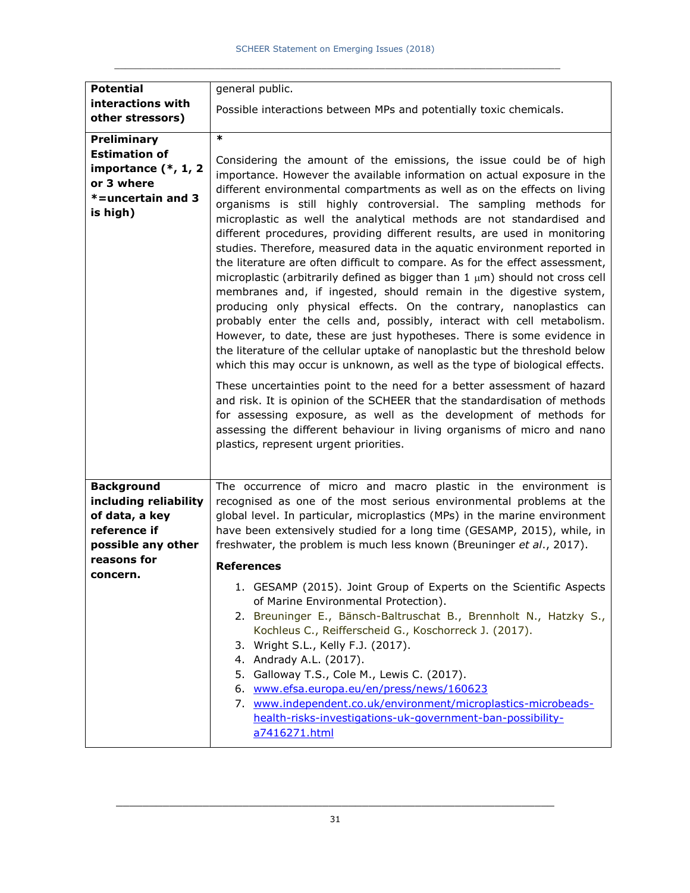| <b>Potential</b>                                                                                             | general public.                                                                                                                                                                                                                                                                                                                                                                                                                                                                                                                                                                                                                                                                                                                                                                                                                                                                                                                                                                                                                                                                                                                                                                                                                                                                                                                                                                                              |
|--------------------------------------------------------------------------------------------------------------|--------------------------------------------------------------------------------------------------------------------------------------------------------------------------------------------------------------------------------------------------------------------------------------------------------------------------------------------------------------------------------------------------------------------------------------------------------------------------------------------------------------------------------------------------------------------------------------------------------------------------------------------------------------------------------------------------------------------------------------------------------------------------------------------------------------------------------------------------------------------------------------------------------------------------------------------------------------------------------------------------------------------------------------------------------------------------------------------------------------------------------------------------------------------------------------------------------------------------------------------------------------------------------------------------------------------------------------------------------------------------------------------------------------|
| interactions with<br>other stressors)                                                                        | Possible interactions between MPs and potentially toxic chemicals.                                                                                                                                                                                                                                                                                                                                                                                                                                                                                                                                                                                                                                                                                                                                                                                                                                                                                                                                                                                                                                                                                                                                                                                                                                                                                                                                           |
| Preliminary<br><b>Estimation of</b><br>importance $(*, 1, 2)$<br>or 3 where<br>*=uncertain and 3<br>is high) | $\ast$<br>Considering the amount of the emissions, the issue could be of high<br>importance. However the available information on actual exposure in the<br>different environmental compartments as well as on the effects on living<br>organisms is still highly controversial. The sampling methods for<br>microplastic as well the analytical methods are not standardised and<br>different procedures, providing different results, are used in monitoring<br>studies. Therefore, measured data in the aquatic environment reported in<br>the literature are often difficult to compare. As for the effect assessment,<br>microplastic (arbitrarily defined as bigger than $1 \mu m$ ) should not cross cell<br>membranes and, if ingested, should remain in the digestive system,<br>producing only physical effects. On the contrary, nanoplastics can<br>probably enter the cells and, possibly, interact with cell metabolism.<br>However, to date, these are just hypotheses. There is some evidence in<br>the literature of the cellular uptake of nanoplastic but the threshold below<br>which this may occur is unknown, as well as the type of biological effects.<br>These uncertainties point to the need for a better assessment of hazard<br>and risk. It is opinion of the SCHEER that the standardisation of methods<br>for assessing exposure, as well as the development of methods for |
|                                                                                                              | assessing the different behaviour in living organisms of micro and nano<br>plastics, represent urgent priorities.                                                                                                                                                                                                                                                                                                                                                                                                                                                                                                                                                                                                                                                                                                                                                                                                                                                                                                                                                                                                                                                                                                                                                                                                                                                                                            |
| <b>Background</b><br>including reliability<br>of data, a key<br>reference if<br>possible any other           | The occurrence of micro and macro plastic in the environment is<br>recognised as one of the most serious environmental problems at the<br>global level. In particular, microplastics (MPs) in the marine environment<br>have been extensively studied for a long time (GESAMP, 2015), while, in<br>freshwater, the problem is much less known (Breuninger et al., 2017).                                                                                                                                                                                                                                                                                                                                                                                                                                                                                                                                                                                                                                                                                                                                                                                                                                                                                                                                                                                                                                     |
| reasons for<br>concern.                                                                                      | <b>References</b>                                                                                                                                                                                                                                                                                                                                                                                                                                                                                                                                                                                                                                                                                                                                                                                                                                                                                                                                                                                                                                                                                                                                                                                                                                                                                                                                                                                            |
|                                                                                                              | 1. GESAMP (2015). Joint Group of Experts on the Scientific Aspects<br>of Marine Environmental Protection).<br>2. Breuninger E., Bänsch-Baltruschat B., Brennholt N., Hatzky S.,<br>Kochleus C., Reifferscheid G., Koschorreck J. (2017).<br>3. Wright S.L., Kelly F.J. (2017).<br>4. Andrady A.L. (2017).<br>5. Galloway T.S., Cole M., Lewis C. (2017).<br>6. www.efsa.europa.eu/en/press/news/160623<br>www.independent.co.uk/environment/microplastics-microbeads-<br>7.<br>health-risks-investigations-uk-government-ban-possibility-<br>a7416271.html                                                                                                                                                                                                                                                                                                                                                                                                                                                                                                                                                                                                                                                                                                                                                                                                                                                   |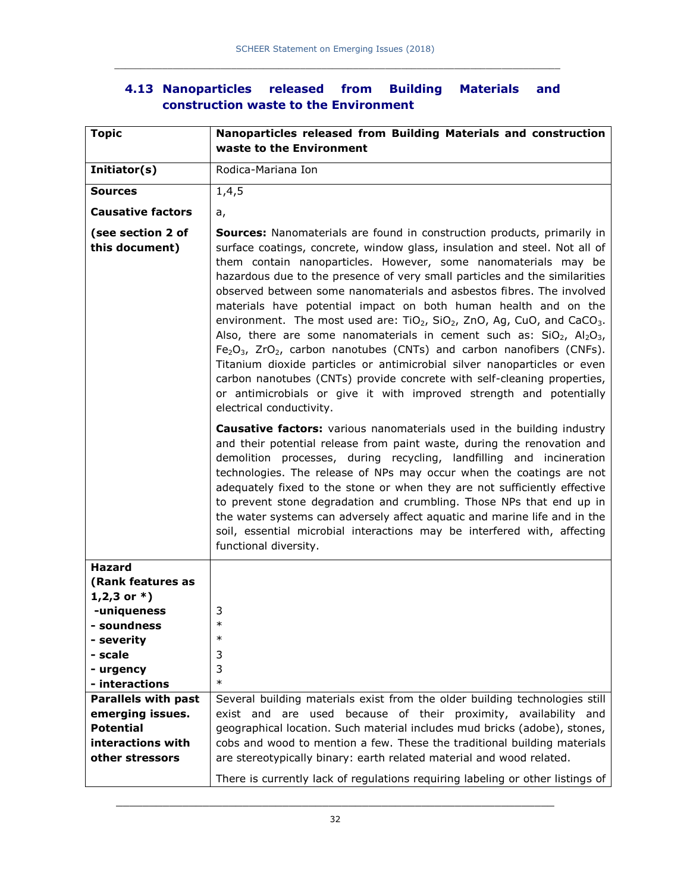### **4.13 Nanoparticles released from Building Materials and construction waste to the Environment**

| <b>Topic</b>                        | Nanoparticles released from Building Materials and construction<br>waste to the Environment                                                                                                                                                                                                                                                                                                                                                                                                                                                                                                                                                                                                                                                                                                                                                                                                                                                                                                               |  |
|-------------------------------------|-----------------------------------------------------------------------------------------------------------------------------------------------------------------------------------------------------------------------------------------------------------------------------------------------------------------------------------------------------------------------------------------------------------------------------------------------------------------------------------------------------------------------------------------------------------------------------------------------------------------------------------------------------------------------------------------------------------------------------------------------------------------------------------------------------------------------------------------------------------------------------------------------------------------------------------------------------------------------------------------------------------|--|
| Initiator(s)                        | Rodica-Mariana Ion                                                                                                                                                                                                                                                                                                                                                                                                                                                                                                                                                                                                                                                                                                                                                                                                                                                                                                                                                                                        |  |
| <b>Sources</b>                      | 1,4,5                                                                                                                                                                                                                                                                                                                                                                                                                                                                                                                                                                                                                                                                                                                                                                                                                                                                                                                                                                                                     |  |
| <b>Causative factors</b>            | a,                                                                                                                                                                                                                                                                                                                                                                                                                                                                                                                                                                                                                                                                                                                                                                                                                                                                                                                                                                                                        |  |
| (see section 2 of<br>this document) | <b>Sources:</b> Nanomaterials are found in construction products, primarily in<br>surface coatings, concrete, window glass, insulation and steel. Not all of<br>them contain nanoparticles. However, some nanomaterials may be<br>hazardous due to the presence of very small particles and the similarities<br>observed between some nanomaterials and asbestos fibres. The involved<br>materials have potential impact on both human health and on the<br>environment. The most used are: $TiO2$ , $SiO2$ , $ZnO$ , Ag, CuO, and CaCO <sub>3</sub> .<br>Also, there are some nanomaterials in cement such as: $SiO2$ , Al <sub>2</sub> O <sub>3</sub> ,<br>$Fe2O3$ , ZrO <sub>2</sub> , carbon nanotubes (CNTs) and carbon nanofibers (CNFs).<br>Titanium dioxide particles or antimicrobial silver nanoparticles or even<br>carbon nanotubes (CNTs) provide concrete with self-cleaning properties,<br>or antimicrobials or give it with improved strength and potentially<br>electrical conductivity. |  |
|                                     | <b>Causative factors:</b> various nanomaterials used in the building industry<br>and their potential release from paint waste, during the renovation and<br>demolition processes, during recycling, landfilling and incineration<br>technologies. The release of NPs may occur when the coatings are not<br>adequately fixed to the stone or when they are not sufficiently effective<br>to prevent stone degradation and crumbling. Those NPs that end up in<br>the water systems can adversely affect aquatic and marine life and in the<br>soil, essential microbial interactions may be interfered with, affecting<br>functional diversity.                                                                                                                                                                                                                                                                                                                                                           |  |
| <b>Hazard</b><br>(Rank features as  |                                                                                                                                                                                                                                                                                                                                                                                                                                                                                                                                                                                                                                                                                                                                                                                                                                                                                                                                                                                                           |  |
| 1,2,3 or $*$ )<br>-uniqueness       | 3                                                                                                                                                                                                                                                                                                                                                                                                                                                                                                                                                                                                                                                                                                                                                                                                                                                                                                                                                                                                         |  |
| - soundness                         | $\ast$                                                                                                                                                                                                                                                                                                                                                                                                                                                                                                                                                                                                                                                                                                                                                                                                                                                                                                                                                                                                    |  |
| - severity                          | ∗                                                                                                                                                                                                                                                                                                                                                                                                                                                                                                                                                                                                                                                                                                                                                                                                                                                                                                                                                                                                         |  |
| - scale                             | 3                                                                                                                                                                                                                                                                                                                                                                                                                                                                                                                                                                                                                                                                                                                                                                                                                                                                                                                                                                                                         |  |
| - urgency                           | 3                                                                                                                                                                                                                                                                                                                                                                                                                                                                                                                                                                                                                                                                                                                                                                                                                                                                                                                                                                                                         |  |
| - interactions                      | $\ast$                                                                                                                                                                                                                                                                                                                                                                                                                                                                                                                                                                                                                                                                                                                                                                                                                                                                                                                                                                                                    |  |
| <b>Parallels with past</b>          | Several building materials exist from the older building technologies still                                                                                                                                                                                                                                                                                                                                                                                                                                                                                                                                                                                                                                                                                                                                                                                                                                                                                                                               |  |
| emerging issues.                    | exist and are used because of their proximity,<br>availability and                                                                                                                                                                                                                                                                                                                                                                                                                                                                                                                                                                                                                                                                                                                                                                                                                                                                                                                                        |  |
| <b>Potential</b>                    | geographical location. Such material includes mud bricks (adobe), stones,                                                                                                                                                                                                                                                                                                                                                                                                                                                                                                                                                                                                                                                                                                                                                                                                                                                                                                                                 |  |
| interactions with                   | cobs and wood to mention a few. These the traditional building materials                                                                                                                                                                                                                                                                                                                                                                                                                                                                                                                                                                                                                                                                                                                                                                                                                                                                                                                                  |  |
| other stressors                     | are stereotypically binary: earth related material and wood related.                                                                                                                                                                                                                                                                                                                                                                                                                                                                                                                                                                                                                                                                                                                                                                                                                                                                                                                                      |  |
|                                     | There is currently lack of regulations requiring labeling or other listings of                                                                                                                                                                                                                                                                                                                                                                                                                                                                                                                                                                                                                                                                                                                                                                                                                                                                                                                            |  |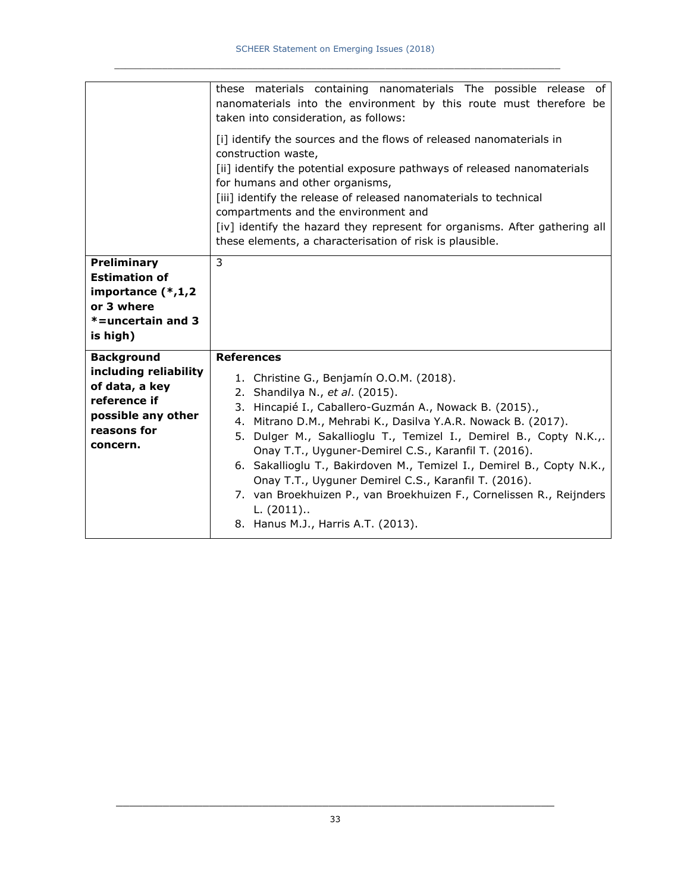|                                                                                                                               | these materials containing nanomaterials The possible release of<br>nanomaterials into the environment by this route must therefore be<br>taken into consideration, as follows:<br>[i] identify the sources and the flows of released nanomaterials in<br>construction waste,<br>[ii] identify the potential exposure pathways of released nanomaterials<br>for humans and other organisms,<br>[iii] identify the release of released nanomaterials to technical<br>compartments and the environment and<br>[iv] identify the hazard they represent for organisms. After gathering all<br>these elements, a characterisation of risk is plausible. |
|-------------------------------------------------------------------------------------------------------------------------------|----------------------------------------------------------------------------------------------------------------------------------------------------------------------------------------------------------------------------------------------------------------------------------------------------------------------------------------------------------------------------------------------------------------------------------------------------------------------------------------------------------------------------------------------------------------------------------------------------------------------------------------------------|
| Preliminary<br><b>Estimation of</b><br>importance (*,1,2<br>or 3 where<br>*=uncertain and 3<br>is high)                       | 3                                                                                                                                                                                                                                                                                                                                                                                                                                                                                                                                                                                                                                                  |
| <b>Background</b><br>including reliability<br>of data, a key<br>reference if<br>possible any other<br>reasons for<br>concern. | <b>References</b><br>1. Christine G., Benjamín O.O.M. (2018).<br>2. Shandilya N., et al. (2015).<br>3. Hincapié I., Caballero-Guzmán A., Nowack B. (2015).,<br>4. Mitrano D.M., Mehrabi K., Dasilva Y.A.R. Nowack B. (2017).<br>5. Dulger M., Sakallioglu T., Temizel I., Demirel B., Copty N.K.,.<br>Onay T.T., Uyguner-Demirel C.S., Karanfil T. (2016).<br>6. Sakallioglu T., Bakirdoven M., Temizel I., Demirel B., Copty N.K.,<br>Onay T.T., Uyguner Demirel C.S., Karanfil T. (2016).<br>7. van Broekhuizen P., van Broekhuizen F., Cornelissen R., Reijnders<br>$L. (2011)$<br>8. Hanus M.J., Harris A.T. (2013).                           |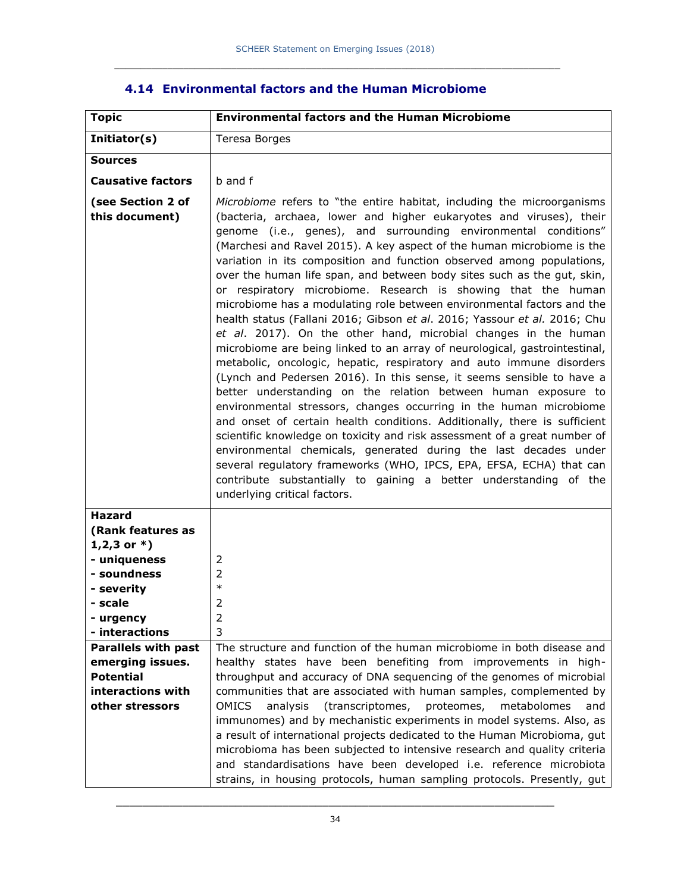| <b>Environmental factors and the Human Microbiome</b>                                                                                                                                                                                                                                                                                                                                                                                                                                                                                                                                                                                                                                                                                                                                                                                                                                                                                                                                                                                                                                                                                                                                                                                                                                                                                                                                                                                                                                                                      |  |  |
|----------------------------------------------------------------------------------------------------------------------------------------------------------------------------------------------------------------------------------------------------------------------------------------------------------------------------------------------------------------------------------------------------------------------------------------------------------------------------------------------------------------------------------------------------------------------------------------------------------------------------------------------------------------------------------------------------------------------------------------------------------------------------------------------------------------------------------------------------------------------------------------------------------------------------------------------------------------------------------------------------------------------------------------------------------------------------------------------------------------------------------------------------------------------------------------------------------------------------------------------------------------------------------------------------------------------------------------------------------------------------------------------------------------------------------------------------------------------------------------------------------------------------|--|--|
| Teresa Borges                                                                                                                                                                                                                                                                                                                                                                                                                                                                                                                                                                                                                                                                                                                                                                                                                                                                                                                                                                                                                                                                                                                                                                                                                                                                                                                                                                                                                                                                                                              |  |  |
|                                                                                                                                                                                                                                                                                                                                                                                                                                                                                                                                                                                                                                                                                                                                                                                                                                                                                                                                                                                                                                                                                                                                                                                                                                                                                                                                                                                                                                                                                                                            |  |  |
| b and f                                                                                                                                                                                                                                                                                                                                                                                                                                                                                                                                                                                                                                                                                                                                                                                                                                                                                                                                                                                                                                                                                                                                                                                                                                                                                                                                                                                                                                                                                                                    |  |  |
| Microbiome refers to "the entire habitat, including the microorganisms<br>(bacteria, archaea, lower and higher eukaryotes and viruses), their<br>genome (i.e., genes), and surrounding environmental conditions"<br>(Marchesi and Ravel 2015). A key aspect of the human microbiome is the<br>variation in its composition and function observed among populations,<br>over the human life span, and between body sites such as the gut, skin,<br>or respiratory microbiome. Research is showing that the human<br>microbiome has a modulating role between environmental factors and the<br>health status (Fallani 2016; Gibson et al. 2016; Yassour et al. 2016; Chu<br>et al. 2017). On the other hand, microbial changes in the human<br>microbiome are being linked to an array of neurological, gastrointestinal,<br>metabolic, oncologic, hepatic, respiratory and auto immune disorders<br>(Lynch and Pedersen 2016). In this sense, it seems sensible to have a<br>better understanding on the relation between human exposure to<br>environmental stressors, changes occurring in the human microbiome<br>and onset of certain health conditions. Additionally, there is sufficient<br>scientific knowledge on toxicity and risk assessment of a great number of<br>environmental chemicals, generated during the last decades under<br>several regulatory frameworks (WHO, IPCS, EPA, EFSA, ECHA) that can<br>contribute substantially to gaining a better understanding of the<br>underlying critical factors. |  |  |
| 2<br>2<br>$\ast$<br>2<br>2<br>3<br>The structure and function of the human microbiome in both disease and<br>healthy states have been benefiting from improvements in high-<br>throughput and accuracy of DNA sequencing of the genomes of microbial<br>communities that are associated with human samples, complemented by<br>(transcriptomes, proteomes,<br><b>OMICS</b><br>analysis<br>metabolomes<br>and<br>immunomes) and by mechanistic experiments in model systems. Also, as<br>a result of international projects dedicated to the Human Microbioma, gut<br>microbioma has been subjected to intensive research and quality criteria                                                                                                                                                                                                                                                                                                                                                                                                                                                                                                                                                                                                                                                                                                                                                                                                                                                                              |  |  |
|                                                                                                                                                                                                                                                                                                                                                                                                                                                                                                                                                                                                                                                                                                                                                                                                                                                                                                                                                                                                                                                                                                                                                                                                                                                                                                                                                                                                                                                                                                                            |  |  |

### **4.14 Environmental factors and the Human Microbiome**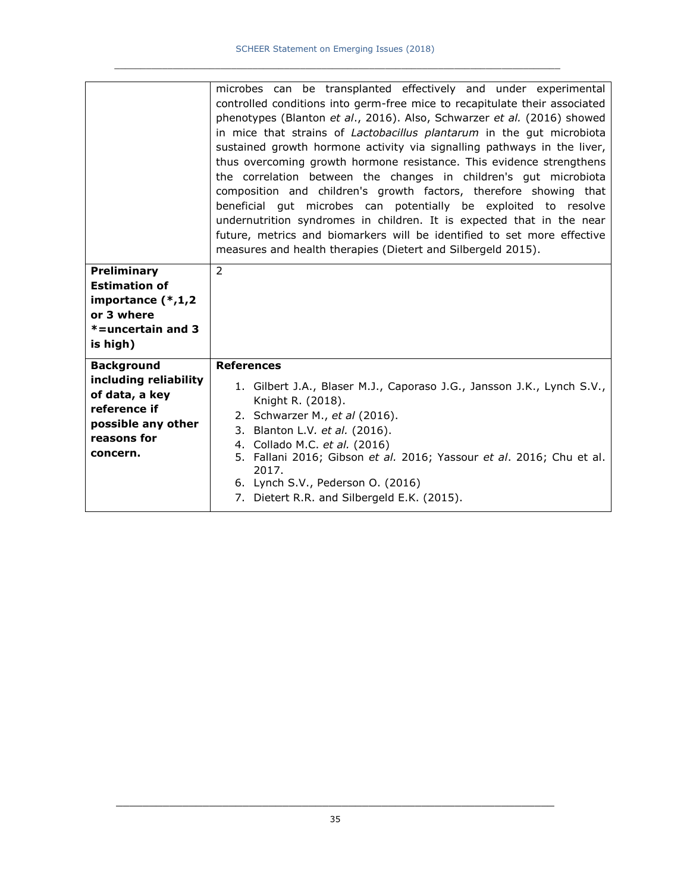|                                                                                                                               | microbes can be transplanted effectively and under experimental<br>controlled conditions into germ-free mice to recapitulate their associated                                                                                                                                                                                                                                                                                                |
|-------------------------------------------------------------------------------------------------------------------------------|----------------------------------------------------------------------------------------------------------------------------------------------------------------------------------------------------------------------------------------------------------------------------------------------------------------------------------------------------------------------------------------------------------------------------------------------|
|                                                                                                                               | phenotypes (Blanton et al., 2016). Also, Schwarzer et al. (2016) showed<br>in mice that strains of Lactobacillus plantarum in the gut microbiota<br>sustained growth hormone activity via signalling pathways in the liver,<br>thus overcoming growth hormone resistance. This evidence strengthens<br>the correlation between the changes in children's gut microbiota<br>composition and children's growth factors, therefore showing that |
|                                                                                                                               | beneficial gut microbes can potentially be exploited to resolve<br>undernutrition syndromes in children. It is expected that in the near<br>future, metrics and biomarkers will be identified to set more effective<br>measures and health therapies (Dietert and Silbergeld 2015).                                                                                                                                                          |
| <b>Preliminary</b><br><b>Estimation of</b><br>importance (*,1,2<br>or 3 where<br>*=uncertain and 3<br>is high)                | 2                                                                                                                                                                                                                                                                                                                                                                                                                                            |
| <b>Background</b><br>including reliability<br>of data, a key<br>reference if<br>possible any other<br>reasons for<br>concern. | <b>References</b><br>1. Gilbert J.A., Blaser M.J., Caporaso J.G., Jansson J.K., Lynch S.V.,<br>Knight R. (2018).<br>2. Schwarzer M., et al (2016).<br>3. Blanton L.V. et al. (2016).<br>4. Collado M.C. et al. (2016)<br>5. Fallani 2016; Gibson et al. 2016; Yassour et al. 2016; Chu et al.<br>2017.<br>6. Lynch S.V., Pederson O. (2016)                                                                                                  |
|                                                                                                                               | 7. Dietert R.R. and Silbergeld E.K. (2015).                                                                                                                                                                                                                                                                                                                                                                                                  |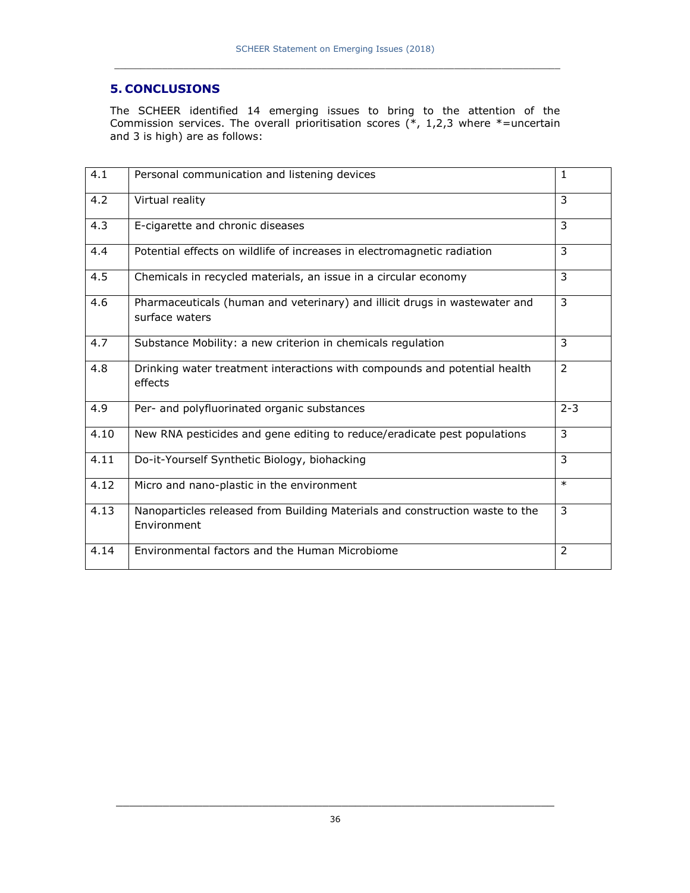### **5. CONCLUSIONS**

The SCHEER identified 14 emerging issues to bring to the attention of the Commission services. The overall prioritisation scores  $(*, 1,2,3)$  where  $*=$ uncertain and 3 is high) are as follows:

| 4.1  | Personal communication and listening devices                                                 | $\mathbf{1}$   |
|------|----------------------------------------------------------------------------------------------|----------------|
| 4.2  | Virtual reality                                                                              | $\overline{3}$ |
| 4.3  | E-cigarette and chronic diseases                                                             | 3              |
| 4.4  | Potential effects on wildlife of increases in electromagnetic radiation                      | 3              |
| 4.5  | Chemicals in recycled materials, an issue in a circular economy                              | 3              |
| 4.6  | Pharmaceuticals (human and veterinary) and illicit drugs in wastewater and<br>surface waters | 3              |
| 4.7  | Substance Mobility: a new criterion in chemicals regulation                                  | 3              |
| 4.8  | Drinking water treatment interactions with compounds and potential health<br>effects         | 2              |
| 4.9  | Per- and polyfluorinated organic substances                                                  | $2 - 3$        |
| 4.10 | New RNA pesticides and gene editing to reduce/eradicate pest populations                     | 3              |
| 4.11 | Do-it-Yourself Synthetic Biology, biohacking                                                 | 3              |
| 4.12 | Micro and nano-plastic in the environment                                                    | $\ast$         |
| 4.13 | Nanoparticles released from Building Materials and construction waste to the<br>Environment  | 3              |
| 4.14 | Environmental factors and the Human Microbiome                                               | $\overline{2}$ |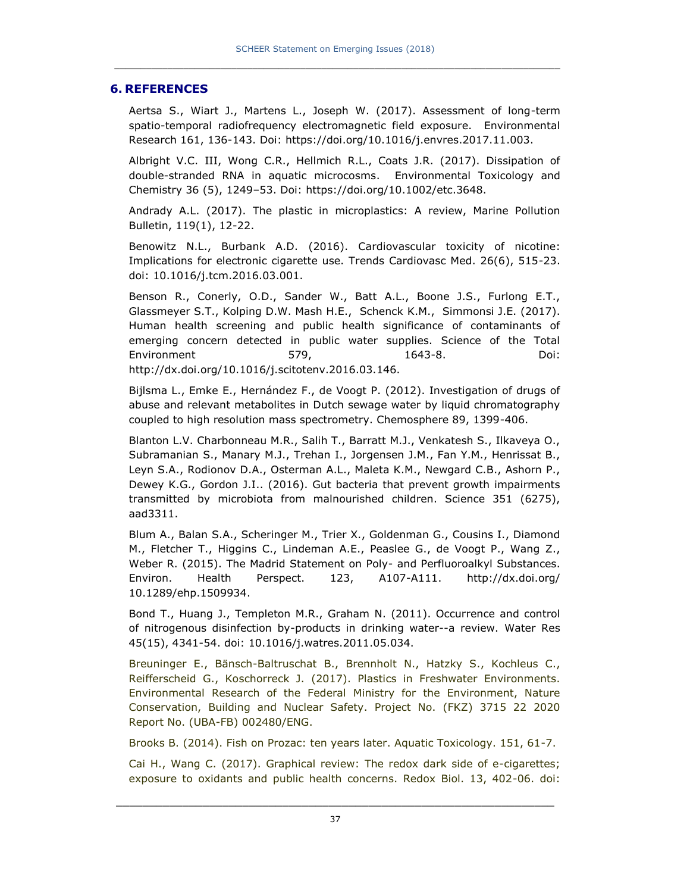#### **6. REFERENCES**

Aertsa S., Wiart J., Martens L., Joseph W. (2017). Assessment of long-term spatio-temporal radiofrequency electromagnetic field exposure. Environmental Research 161, 136-143. Doi: https://doi.org/10.1016/j.envres.2017.11.003.

Albright V.C. III, Wong C.R., Hellmich R.L., Coats J.R. (2017). Dissipation of double-stranded RNA in aquatic microcosms. Environmental Toxicology and Chemistry 36 (5), 1249–53. Doi: https://doi.org/10.1002/etc.3648.

Andrady A.L. (2017). The plastic in microplastics: A review, Marine Pollution Bulletin, 119(1), 12-22.

Benowitz N.L., Burbank A.D. (2016). Cardiovascular toxicity of nicotine: Implications for electronic cigarette use. Trends Cardiovasc Med. 26(6), 515-23. doi: 10.1016/j.tcm.2016.03.001.

Benson R., Conerly, O.D., Sander W., Batt A.L., Boone J.S., Furlong E.T., Glassmeyer S.T., Kolping D.W. Mash H.E., Schenck K.M., Simmonsi J.E. (2017). Human health screening and public health significance of contaminants of emerging concern detected in public water supplies. Science of the Total Environment 579, 1643-8. Doi: http://dx.doi.org/10.1016/j.scitotenv.2016.03.146.

Bijlsma L., Emke E., Hernández F., de Voogt P. (2012). Investigation of drugs of abuse and relevant metabolites in Dutch sewage water by liquid chromatography coupled to high resolution mass spectrometry. Chemosphere 89, 1399-406.

Blanton L.V. Charbonneau M.R., Salih T., Barratt M.J., Venkatesh S., Ilkaveya O., Subramanian S., Manary M.J., Trehan I., Jorgensen J.M., Fan Y.M., Henrissat B., Leyn S.A., Rodionov D.A., Osterman A.L., Maleta K.M., Newgard C.B., Ashorn P., Dewey K.G., Gordon J.I.. (2016). Gut bacteria that prevent growth impairments transmitted by microbiota from malnourished children. Science 351 (6275), aad3311.

Blum A., Balan S.A., Scheringer M., Trier X., Goldenman G., Cousins I., Diamond M., Fletcher T., Higgins C., Lindeman A.E., Peaslee G., de Voogt P., Wang Z., Weber R. (2015). The Madrid Statement on Poly- and Perfluoroalkyl Substances. Environ. Health Perspect. 123, A107-A111. http://dx.doi.org/ 10.1289/ehp.1509934.

Bond T., Huang J., Templeton M.R., Graham N. (2011). Occurrence and control of nitrogenous disinfection by-products in drinking water--a review. Water Res 45(15), 4341-54. doi: 10.1016/j.watres.2011.05.034.

Breuninger E., Bänsch-Baltruschat B., Brennholt N., Hatzky S., Kochleus C., Reifferscheid G., Koschorreck J. (2017). Plastics in Freshwater Environments. Environmental Research of the Federal Ministry for the Environment, Nature Conservation, Building and Nuclear Safety. Project No. (FKZ) 3715 22 2020 Report No. (UBA-FB) 002480/ENG.

Brooks B. (2014). Fish on Prozac: ten years later. Aquatic Toxicology. 151, 61-7.

Cai H., Wang C. (2017). Graphical review: The redox dark side of e-cigarettes; exposure to oxidants and public health concerns. Redox Biol. 13, 402-06. doi: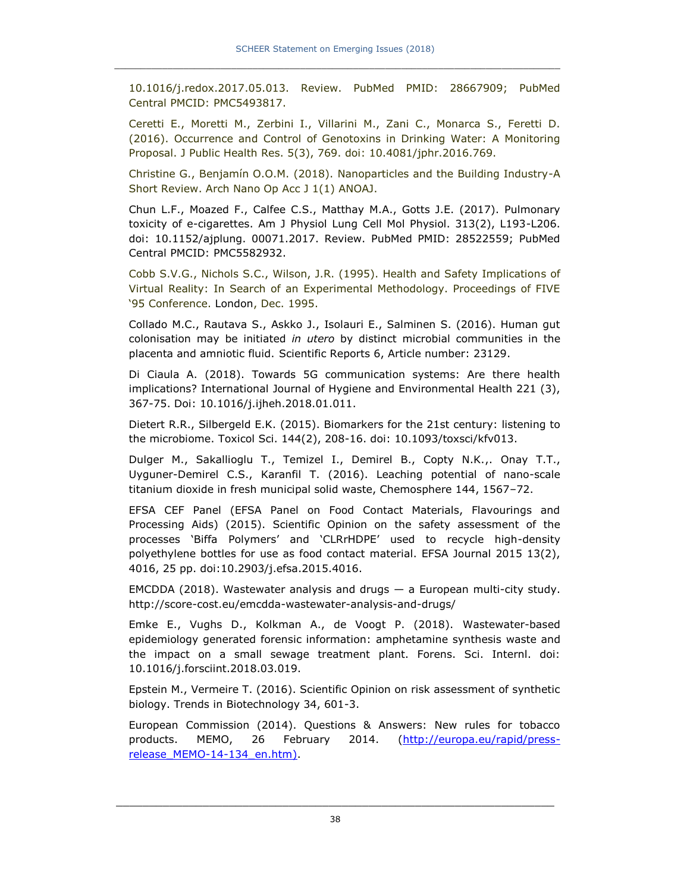10.1016/j.redox.2017.05.013. Review. PubMed PMID: 28667909; PubMed Central PMCID: PMC5493817.

Ceretti E., Moretti M., Zerbini I., Villarini M., Zani C., Monarca S., Feretti D. (2016). Occurrence and Control of Genotoxins in Drinking Water: A Monitoring Proposal. J Public Health Res. 5(3), 769. doi: 10.4081/jphr.2016.769.

Christine G., Benjamín O.O.M. (2018). Nanoparticles and the Building Industry-A Short Review. Arch Nano Op Acc J 1(1) ANOAJ.

Chun L.F., Moazed F., Calfee C.S., Matthay M.A., Gotts J.E. (2017). Pulmonary toxicity of e-cigarettes. Am J Physiol Lung Cell Mol Physiol. 313(2), L193-L206. doi: 10.1152/ajplung. 00071.2017. Review. PubMed PMID: 28522559; PubMed Central PMCID: PMC5582932.

Cobb S.V.G., Nichols S.C., Wilson, J.R. (1995). Health and Safety Implications of Virtual Reality: In Search of an Experimental Methodology. Proceedings of FIVE '95 Conference. London, Dec. 1995.

Collado M.C., Rautava S., Askko J., Isolauri E., Salminen S. (2016). Human gut colonisation may be initiated *in utero* by distinct microbial communities in the placenta and amniotic fluid. Scientific Reports 6, Article number: 23129.

Di Ciaula A. (2018). Towards 5G communication systems: Are there health implications? International Journal of Hygiene and Environmental Health 221 (3), 367-75. Doi: 10.1016/j.ijheh.2018.01.011.

Dietert R.R., Silbergeld E.K. (2015). Biomarkers for the 21st century: listening to the microbiome. Toxicol Sci. 144(2), 208-16. doi: 10.1093/toxsci/kfv013.

Dulger M., Sakallioglu T., Temizel I., Demirel B., Copty N.K.,. Onay T.T., Uyguner-Demirel C.S., Karanfil T. (2016). Leaching potential of nano-scale titanium dioxide in fresh municipal solid waste, Chemosphere 144, 1567–72.

EFSA CEF Panel (EFSA Panel on Food Contact Materials, Flavourings and Processing Aids) (2015). Scientific Opinion on the safety assessment of the processes 'Biffa Polymers' and 'CLRrHDPE' used to recycle high-density polyethylene bottles for use as food contact material. EFSA Journal 2015 13(2), 4016, 25 pp. doi:10.2903/j.efsa.2015.4016.

EMCDDA (2018). Wastewater analysis and drugs — a European multi-city study. http://score-cost.eu/emcdda-wastewater-analysis-and-drugs/

Emke E., Vughs D., Kolkman A., de Voogt P. (2018). Wastewater-based epidemiology generated forensic information: amphetamine synthesis waste and the impact on a small sewage treatment plant. Forens. Sci. Internl. doi: 10.1016/j.forsciint.2018.03.019.

Epstein M., Vermeire T. (2016). Scientific Opinion on risk assessment of synthetic biology. Trends in Biotechnology 34, 601-3.

European Commission (2014). Questions & Answers: New rules for tobacco products. MEMO, 26 February 2014. [\(http://europa.eu/rapid/press](http://europa.eu/rapid/press-release_MEMO-14-134_en.htm))release MEMO-14-134 en.htm).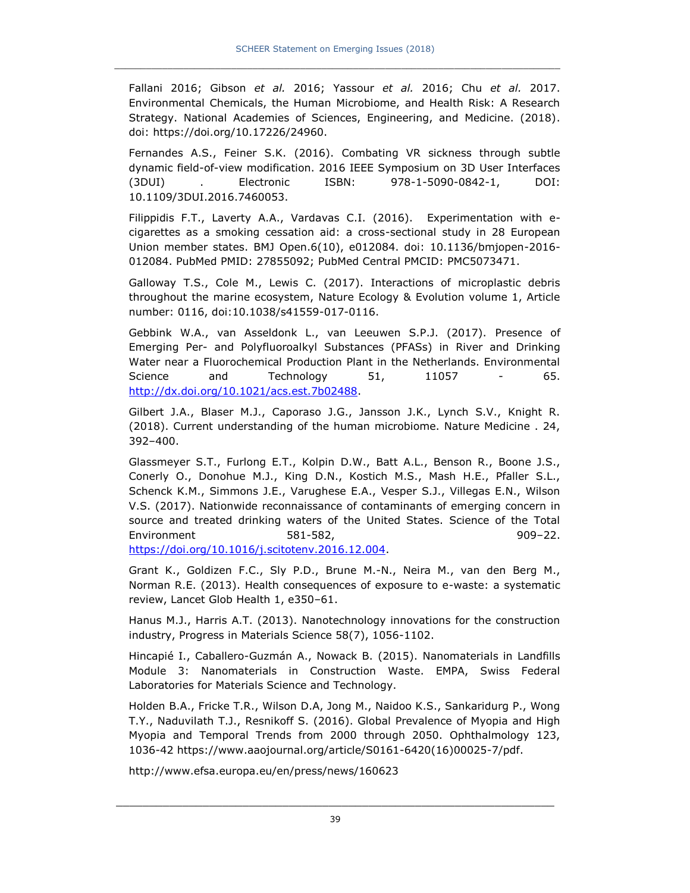Fallani 2016; Gibson *et al.* 2016; Yassour *et al.* 2016; Chu *et al.* 2017. Environmental Chemicals, the Human Microbiome, and Health Risk: A Research Strategy. National Academies of Sciences, Engineering, and Medicine. (2018). doi: https://doi.org/10.17226/24960.

Fernandes A.S., Feiner S.K. (2016). Combating VR sickness through subtle dynamic field-of-view modification. 2016 IEEE Symposium on 3D User Interfaces (3DUI) . Electronic ISBN: 978-1-5090-0842-1, DOI: 10.1109/3DUI.2016.7460053.

Filippidis F.T., Laverty A.A., Vardavas C.I. (2016). Experimentation with ecigarettes as a smoking cessation aid: a cross-sectional study in 28 European Union member states. BMJ Open.6(10), e012084. doi: 10.1136/bmjopen-2016- 012084. PubMed PMID: 27855092; PubMed Central PMCID: PMC5073471.

Galloway T.S., Cole M., Lewis C. (2017). Interactions of microplastic debris throughout the marine ecosystem, Nature Ecology & Evolution volume 1, Article number: 0116, doi:10.1038/s41559-017-0116.

Gebbink W.A., van Asseldonk L., van Leeuwen S.P.J. (2017). Presence of Emerging Per- and Polyfluoroalkyl Substances (PFASs) in River and Drinking Water near a Fluorochemical Production Plant in the Netherlands. Environmental Science and Technology 51, 11057 - 65. [http://dx.doi.org/10.1021/acs.est.7b02488.](http://dx.doi.org/10.1021/acs.est.7b02488)

Gilbert J.A., Blaser M.J., Caporaso J.G., Jansson J.K., Lynch S.V., Knight R. (2018). Current understanding of the human microbiome. Nature Medicine . 24, 392–400.

Glassmeyer S.T., Furlong E.T., Kolpin D.W., Batt A.L., Benson R., Boone J.S., Conerly O., Donohue M.J., King D.N., Kostich M.S., Mash H.E., Pfaller S.L., Schenck K.M., Simmons J.E., Varughese E.A., Vesper S.J., Villegas E.N., Wilson V.S. (2017). Nationwide reconnaissance of contaminants of emerging concern in source and treated drinking waters of the United States. Science of the Total Environment 581-582, 909–22.

[https://doi.org/10.1016/j.scitotenv.2016.12.004.](https://doi.org/10.1016/j.scitotenv.2016.12.004)

Grant K., Goldizen F.C., Sly P.D., Brune M.-N., Neira M., van den Berg M., Norman R.E. (2013). Health consequences of exposure to e-waste: a systematic review, Lancet Glob Health 1, e350–61.

Hanus M.J., Harris A.T. (2013). Nanotechnology innovations for the construction industry, Progress in Materials Science 58(7), 1056-1102.

Hincapié I., Caballero-Guzmán A., Nowack B. (2015). Nanomaterials in Landfills Module 3: Nanomaterials in Construction Waste. EMPA, Swiss Federal Laboratories for Materials Science and Technology.

Holden B.A., Fricke T.R., Wilson D.A, Jong M., Naidoo K.S., Sankaridurg P., Wong T.Y., Naduvilath T.J., Resnikoff S. (2016). Global Prevalence of Myopia and High Myopia and Temporal Trends from 2000 through 2050. Ophthalmology 123, 1036-42 [https://www.aaojournal.org/article/S0161-6420\(16\)00025-7/pdf.](https://www.aaojournal.org/article/S0161-6420(16)00025-7/pdf)

http://www.efsa.europa.eu/en/press/news/160623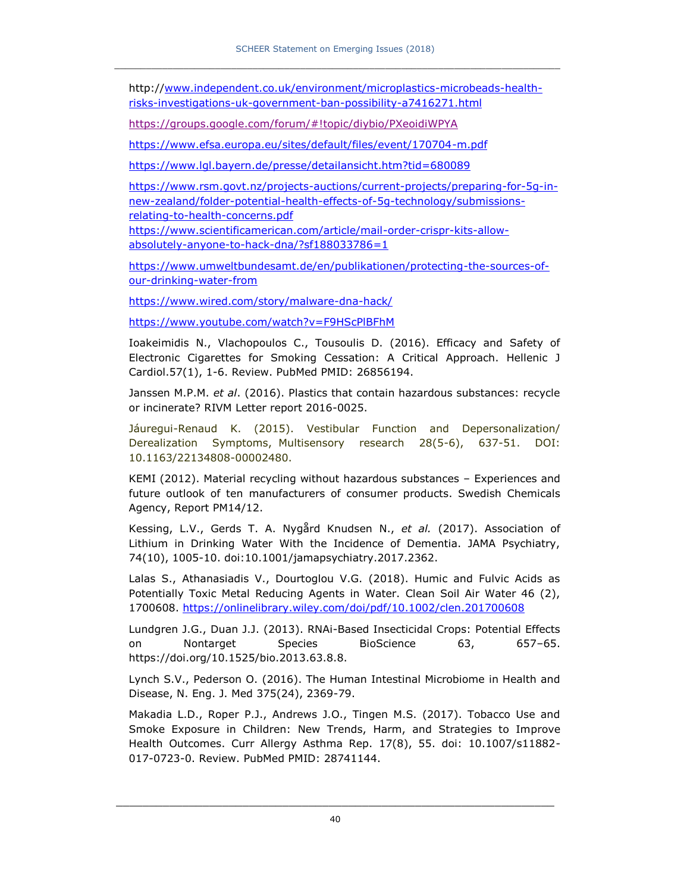http:/[/www.independent.co.uk/environment/microplastics-microbeads-health](http://www.independent.co.uk/environment/microplastics-microbeads-health-risks-investigations-uk-government-ban-possibility-a7416271.html)[risks-investigations-uk-government-ban-possibility-a7416271.html](http://www.independent.co.uk/environment/microplastics-microbeads-health-risks-investigations-uk-government-ban-possibility-a7416271.html)

<https://groups.google.com/forum/#!topic/diybio/PXeoidiWPYA>

<https://www.efsa.europa.eu/sites/default/files/event/170704-m.pdf>

<https://www.lgl.bayern.de/presse/detailansicht.htm?tid=680089>

[https://www.rsm.govt.nz/projects-auctions/current-projects/preparing-for-5g-in](https://www.rsm.govt.nz/projects-auctions/current-projects/preparing-for-5g-in-new-zealand/folder-potential-health-effects-of-5g-technology/submissions-relating-to-health-concerns.pdf)[new-zealand/folder-potential-health-effects-of-5g-technology/submissions](https://www.rsm.govt.nz/projects-auctions/current-projects/preparing-for-5g-in-new-zealand/folder-potential-health-effects-of-5g-technology/submissions-relating-to-health-concerns.pdf)[relating-to-health-concerns.pdf](https://www.rsm.govt.nz/projects-auctions/current-projects/preparing-for-5g-in-new-zealand/folder-potential-health-effects-of-5g-technology/submissions-relating-to-health-concerns.pdf)

[https://www.scientificamerican.com/article/mail-order-crispr-kits-allow](https://www.scientificamerican.com/article/mail-order-crispr-kits-allow-absolutely-anyone-to-hack-dna/?sf188033786=1)[absolutely-anyone-to-hack-dna/?sf188033786=1](https://www.scientificamerican.com/article/mail-order-crispr-kits-allow-absolutely-anyone-to-hack-dna/?sf188033786=1)

[https://www.umweltbundesamt.de/en/publikationen/protecting-the-sources-of](https://www.umweltbundesamt.de/en/publikationen/protecting-the-sources-of-our-drinking-water-from)[our-drinking-water-from](https://www.umweltbundesamt.de/en/publikationen/protecting-the-sources-of-our-drinking-water-from)

<https://www.wired.com/story/malware-dna-hack/>

<https://www.youtube.com/watch?v=F9HScPlBFhM>

Ioakeimidis N., Vlachopoulos C., Tousoulis D. (2016). Efficacy and Safety of Electronic Cigarettes for Smoking Cessation: A Critical Approach. Hellenic J Cardiol.57(1), 1-6. Review. PubMed PMID: 26856194.

Janssen M.P.M. *et al*. (2016). Plastics that contain hazardous substances: recycle or incinerate? RIVM Letter report 2016-0025.

Jáuregui-Renaud K. (2015). Vestibular Function and Depersonalization/ Derealization Symptoms, Multisensory research 28(5-6), 637-51. DOI: 10.1163/22134808-00002480.

KEMI (2012). Material recycling without hazardous substances – Experiences and future outlook of ten manufacturers of consumer products. Swedish Chemicals Agency, Report PM14/12.

Kessing, L.V., Gerds T. A. Nygård Knudsen N., *et al.* (2017). Association of Lithium in Drinking Water With the Incidence of Dementia. JAMA Psychiatry, 74(10), 1005-10. doi:10.1001/jamapsychiatry.2017.2362.

Lalas S., Athanasiadis V., Dourtoglou V.G. (2018). Humic and Fulvic Acids as Potentially Toxic Metal Reducing Agents in Water. Clean Soil Air Water 46 (2), 1700608.<https://onlinelibrary.wiley.com/doi/pdf/10.1002/clen.201700608>

Lundgren J.G., Duan J.J. (2013). RNAi-Based Insecticidal Crops: Potential Effects on Nontarget Species BioScience 63, 657–65. https://doi.org/10.1525/bio.2013.63.8.8.

Lynch S.V., Pederson O. (2016). The Human Intestinal Microbiome in Health and Disease, N. Eng. J. Med 375(24), 2369-79.

Makadia L.D., Roper P.J., Andrews J.O., Tingen M.S. (2017). Tobacco Use and Smoke Exposure in Children: New Trends, Harm, and Strategies to Improve Health Outcomes. Curr Allergy Asthma Rep. 17(8), 55. doi: 10.1007/s11882- 017-0723-0. Review. PubMed PMID: 28741144.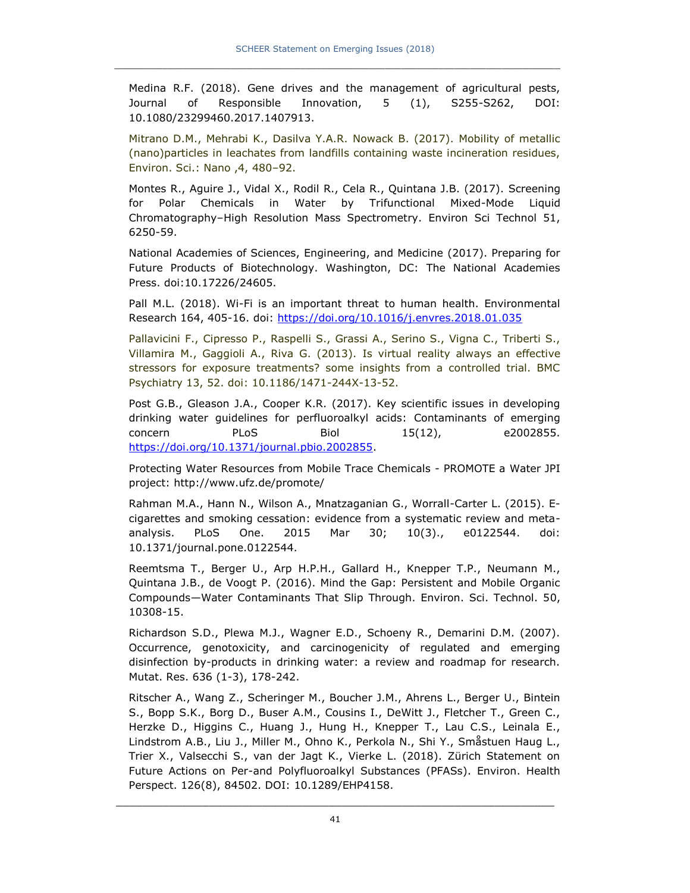Medina R.F. (2018). Gene drives and the management of agricultural pests, Journal of Responsible Innovation, 5 (1), S255-S262, DOI: 10.1080/23299460.2017.1407913.

Mitrano D.M., Mehrabi K., Dasilva Y.A.R. Nowack B. (2017). Mobility of metallic (nano)particles in leachates from landfills containing waste incineration residues, Environ. Sci.: Nano ,4, 480–92.

Montes R., Aguire J., Vidal X., Rodil R., Cela R., Quintana J.B. (2017). Screening for Polar Chemicals in Water by Trifunctional Mixed-Mode Liquid Chromatography–High Resolution Mass Spectrometry. Environ Sci Technol 51, 6250-59.

National Academies of Sciences, Engineering, and Medicine (2017). Preparing for Future Products of Biotechnology. Washington, DC: The National Academies Press. doi:10.17226/24605.

Pall M.L. (2018). Wi-Fi is an important threat to human health. Environmental Research 164, 405-16. doi:<https://doi.org/10.1016/j.envres.2018.01.035>

Pallavicini F., Cipresso P., Raspelli S., Grassi A., Serino S., Vigna C., Triberti S., Villamira M., Gaggioli A., Riva G. (2013). Is virtual reality always an effective stressors for exposure treatments? some insights from a controlled trial. BMC Psychiatry 13, 52. doi: 10.1186/1471-244X-13-52.

Post G.B., Gleason J.A., Cooper K.R. (2017). Key scientific issues in developing drinking water guidelines for perfluoroalkyl acids: Contaminants of emerging concern PLoS Biol 15(12), e2002855. [https://doi.org/10.1371/journal.pbio.2002855.](https://doi.org/10.1371/journal.pbio.2002855)

Protecting Water Resources from Mobile Trace Chemicals - PROMOTE a Water JPI project: http://www.ufz.de/promote/

Rahman M.A., Hann N., Wilson A., Mnatzaganian G., Worrall-Carter L. (2015). Ecigarettes and smoking cessation: evidence from a systematic review and metaanalysis. PLoS One. 2015 Mar 30; 10(3)., e0122544. doi: 10.1371/journal.pone.0122544.

Reemtsma T., Berger U., Arp H.P.H., Gallard H., Knepper T.P., Neumann M., Quintana J.B., de Voogt P. (2016). Mind the Gap: Persistent and Mobile Organic Compounds—Water Contaminants That Slip Through. Environ. Sci. Technol. 50, 10308-15.

Richardson S.D., Plewa M.J., Wagner E.D., Schoeny R., Demarini D.M. (2007). Occurrence, genotoxicity, and carcinogenicity of regulated and emerging disinfection by-products in drinking water: a review and roadmap for research. Mutat. Res. 636 (1-3), 178-242.

Ritscher A., Wang Z., Scheringer M., Boucher J.M., Ahrens L., Berger U., Bintein S., Bopp S.K., Borg D., Buser A.M., Cousins I., DeWitt J., Fletcher T., Green C., Herzke D., Higgins C., Huang J., Hung H., Knepper T., Lau C.S., Leinala E., Lindstrom A.B., Liu J., Miller M., Ohno K., Perkola N., Shi Y., Småstuen Haug L., Trier X., Valsecchi S., van der Jagt K., Vierke L. (2018). Zürich Statement on Future Actions on Per-and Polyfluoroalkyl Substances (PFASs). Environ. Health Perspect. 126(8), 84502. DOI: 10.1289/EHP4158.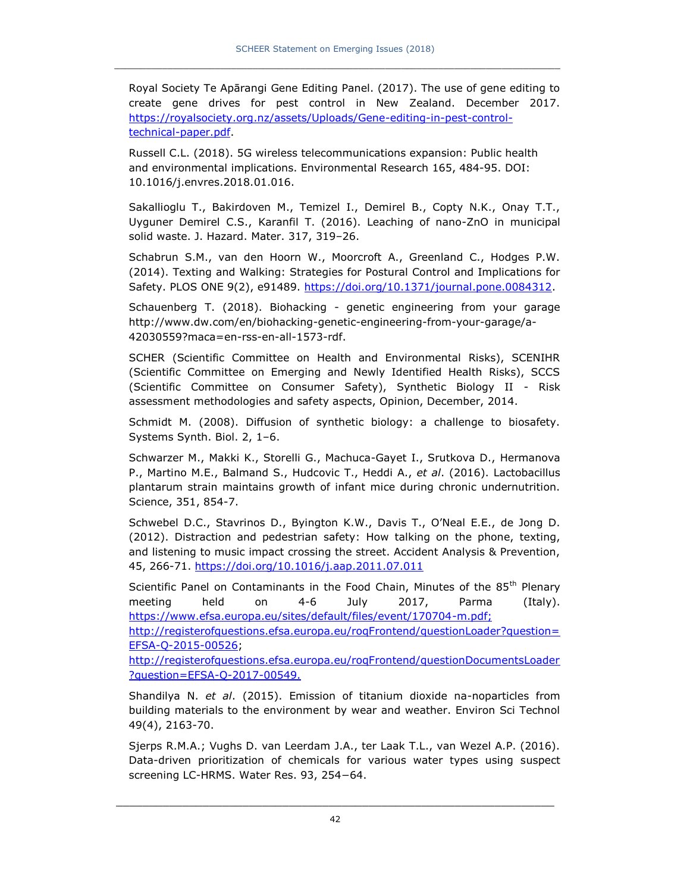Royal Society Te Apārangi Gene Editing Panel. (2017). The use of gene editing to create gene drives for pest control in New Zealand. December 2017. [https://royalsociety.org.nz/assets/Uploads/Gene-editing-in-pest-control](https://royalsociety.org.nz/assets/Uploads/Gene-editing-in-pest-control-technical-paper.pdf)[technical-paper.pdf.](https://royalsociety.org.nz/assets/Uploads/Gene-editing-in-pest-control-technical-paper.pdf)

[Russell C.L.](https://www.ncbi.nlm.nih.gov/pubmed/?term=Russell%20CL%5BAuthor%5D&cauthor=true&cauthor_uid=29655646) (2018). 5G wireless telecommunications expansion: Public health and environmental implications. [Environmental Research](https://www.sciencedirect.com/science/journal/00139351) [165,](https://www.sciencedirect.com/science/journal/00139351/165/supp/C) 484-95. DOI: 10.1016/j.envres.2018.01.016.

Sakallioglu T., Bakirdoven M., Temizel I., Demirel B., Copty N.K., Onay T.T., Uyguner Demirel C.S., Karanfil T. (2016). Leaching of nano-ZnO in municipal solid waste. J. Hazard. Mater. 317, 319–26.

Schabrun S.M., van den Hoorn W., Moorcroft A., Greenland C., Hodges P.W. (2014). Texting and Walking: Strategies for Postural Control and Implications for Safety. PLOS ONE 9(2), e91489. [https://doi.org/10.1371/journal.pone.0084312.](https://doi.org/10.1371/journal.pone.0084312)

Schauenberg T. (2018). Biohacking - genetic engineering from your garage [http://www.dw.com/en/biohacking-genetic-engineering-from-your-garage/a-](http://www.dw.com/en/biohacking-genetic-engineering-from-your-garage/a-42030559?maca=en-rss-en-all-1573-rdf)[42030559?maca=en-rss-en-all-1573-rdf.](http://www.dw.com/en/biohacking-genetic-engineering-from-your-garage/a-42030559?maca=en-rss-en-all-1573-rdf)

SCHER (Scientific Committee on Health and Environmental Risks), SCENIHR (Scientific Committee on Emerging and Newly Identified Health Risks), SCCS (Scientific Committee on Consumer Safety), Synthetic Biology II - Risk assessment methodologies and safety aspects, Opinion, December, 2014.

Schmidt M. (2008). Diffusion of synthetic biology: a challenge to biosafety. Systems Synth. Biol. 2, 1–6.

Schwarzer M., Makki K., Storelli G., Machuca-Gayet I., Srutkova D., Hermanova P., Martino M.E., Balmand S., Hudcovic T., Heddi A., *et al*. (2016). Lactobacillus plantarum strain maintains growth of infant mice during chronic undernutrition. Science, 351, 854-7.

Schwebel D.C., Stavrinos D., Byington K.W., Davis T., O'Neal E.E., de Jong D. (2012). Distraction and pedestrian safety: How talking on the phone, texting, and listening to music impact crossing the street. Accident Analysis & Prevention, 45, 266-71.<https://doi.org/10.1016/j.aap.2011.07.011>

Scientific Panel on Contaminants in the Food Chain, Minutes of the 85<sup>th</sup> Plenary meeting held on 4-6 July 2017, Parma (Italy). [https://www.efsa.europa.eu/sites/default/files/event/170704-m.pdf;](https://www.efsa.europa.eu/sites/default/files/event/170704-m.pdf)

[http://registerofquestions.efsa.europa.eu/roqFrontend/questionLoader?question=](http://registerofquestions.efsa.europa.eu/roqFrontend/questionLoader?question=EFSA-Q-2015-00526) [EFSA-Q-2015-00526;](http://registerofquestions.efsa.europa.eu/roqFrontend/questionLoader?question=EFSA-Q-2015-00526)

[http://registerofquestions.efsa.europa.eu/roqFrontend/questionDocumentsLoader](http://registerofquestions.efsa.europa.eu/roqFrontend/questionDocumentsLoader?question=EFSA-Q-2017-00549) [?question=EFSA-Q-2017-00549.](http://registerofquestions.efsa.europa.eu/roqFrontend/questionDocumentsLoader?question=EFSA-Q-2017-00549)

Shandilya N. *et al*. (2015). Emission of titanium dioxide na-noparticles from building materials to the environment by wear and weather. Environ Sci Technol 49(4), 2163-70.

Sjerps R.M.A.; Vughs D. van Leerdam J.A., ter Laak T.L., van Wezel A.P. (2016). Data-driven prioritization of chemicals for various water types using suspect screening LC-HRMS. Water Res. 93, 254−64.